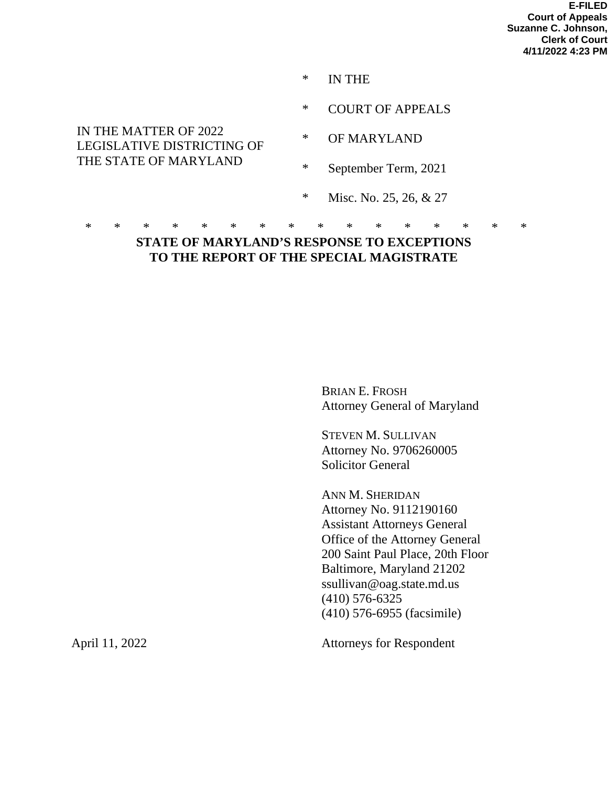**E-FILED Court of Appeals Suzanne C. Johnson, Clerk of Court 4/11/2022 4:23 PM**

- \* IN THE
- \* COURT OF APPEALS

## IN THE MATTER OF 2022 LEGISLATIVE DISTRICTING OF THE STATE OF MARYLAND

- \* OF MARYLAND
- \* September Term, 2021
- \* Misc. No. 25, 26, & 27

#### \* \* \* \* \* \* \* \* \* \* \* \* \* \* \* \* **STATE OF MARYLAND'S RESPONSE TO EXCEPTIONS TO THE REPORT OF THE SPECIAL MAGISTRATE**

BRIAN E. FROSH Attorney General of Maryland

STEVEN M. SULLIVAN Attorney No. 9706260005 Solicitor General

ANN M. SHERIDAN Attorney No. 9112190160 Assistant Attorneys General Office of the Attorney General 200 Saint Paul Place, 20th Floor Baltimore, Maryland 21202 ssullivan@oag.state.md.us (410) 576-6325 (410) 576-6955 (facsimile)

April 11, 2022 Attorneys for Respondent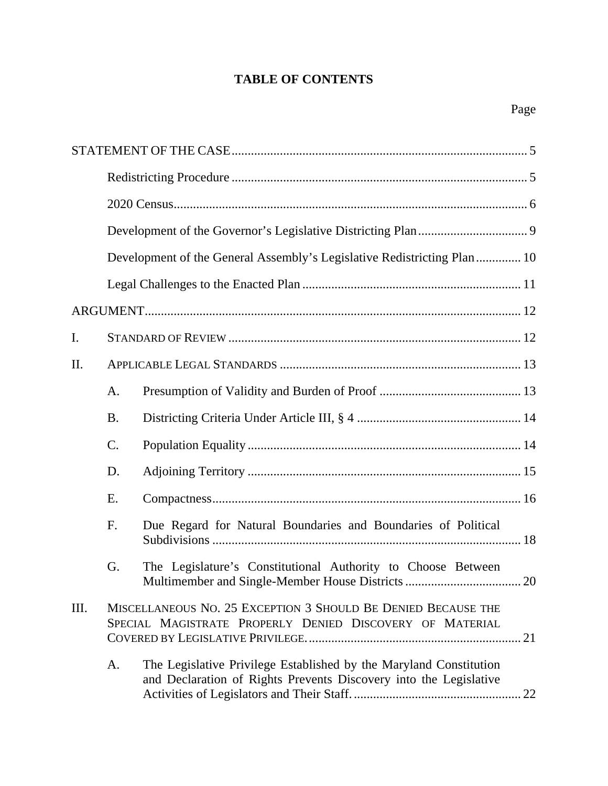# **TABLE OF CONTENTS**

|      |                                                                                                                           | Development of the General Assembly's Legislative Redistricting Plan  10                                                                |  |  |  |  |
|------|---------------------------------------------------------------------------------------------------------------------------|-----------------------------------------------------------------------------------------------------------------------------------------|--|--|--|--|
|      |                                                                                                                           |                                                                                                                                         |  |  |  |  |
|      |                                                                                                                           |                                                                                                                                         |  |  |  |  |
| I.   |                                                                                                                           |                                                                                                                                         |  |  |  |  |
| Π.   |                                                                                                                           |                                                                                                                                         |  |  |  |  |
|      | A.                                                                                                                        |                                                                                                                                         |  |  |  |  |
|      | <b>B.</b>                                                                                                                 |                                                                                                                                         |  |  |  |  |
|      | C.                                                                                                                        |                                                                                                                                         |  |  |  |  |
|      | D.                                                                                                                        |                                                                                                                                         |  |  |  |  |
|      | E.                                                                                                                        |                                                                                                                                         |  |  |  |  |
|      | F.                                                                                                                        | Due Regard for Natural Boundaries and Boundaries of Political                                                                           |  |  |  |  |
|      | G.                                                                                                                        | The Legislature's Constitutional Authority to Choose Between                                                                            |  |  |  |  |
| III. | MISCELLANEOUS NO. 25 EXCEPTION 3 SHOULD BE DENIED BECAUSE THE<br>SPECIAL MAGISTRATE PROPERLY DENIED DISCOVERY OF MATERIAL |                                                                                                                                         |  |  |  |  |
|      | A.                                                                                                                        | The Legislative Privilege Established by the Maryland Constitution<br>and Declaration of Rights Prevents Discovery into the Legislative |  |  |  |  |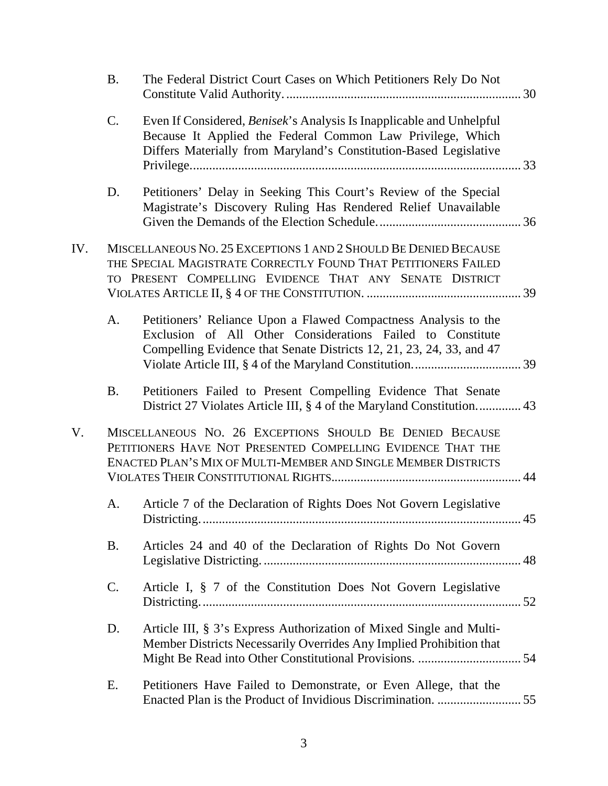|     | <b>B.</b>       | The Federal District Court Cases on Which Petitioners Rely Do Not                                                                                                                                       |  |
|-----|-----------------|---------------------------------------------------------------------------------------------------------------------------------------------------------------------------------------------------------|--|
|     | C.              | Even If Considered, Benisek's Analysis Is Inapplicable and Unhelpful<br>Because It Applied the Federal Common Law Privilege, Which<br>Differs Materially from Maryland's Constitution-Based Legislative |  |
|     | D.              | Petitioners' Delay in Seeking This Court's Review of the Special<br>Magistrate's Discovery Ruling Has Rendered Relief Unavailable                                                                       |  |
| IV. |                 | MISCELLANEOUS NO. 25 EXCEPTIONS 1 AND 2 SHOULD BE DENIED BECAUSE<br>THE SPECIAL MAGISTRATE CORRECTLY FOUND THAT PETITIONERS FAILED<br>TO PRESENT COMPELLING EVIDENCE THAT ANY SENATE DISTRICT           |  |
|     | A.              | Petitioners' Reliance Upon a Flawed Compactness Analysis to the<br>Exclusion of All Other Considerations Failed to Constitute<br>Compelling Evidence that Senate Districts 12, 21, 23, 24, 33, and 47   |  |
|     | <b>B.</b>       | Petitioners Failed to Present Compelling Evidence That Senate<br>District 27 Violates Article III, § 4 of the Maryland Constitution 43                                                                  |  |
| V.  |                 | MISCELLANEOUS NO. 26 EXCEPTIONS SHOULD BE DENIED BECAUSE<br>PETITIONERS HAVE NOT PRESENTED COMPELLING EVIDENCE THAT THE<br>ENACTED PLAN'S MIX OF MULTI-MEMBER AND SINGLE MEMBER DISTRICTS               |  |
|     | A.              | Article 7 of the Declaration of Rights Does Not Govern Legislative                                                                                                                                      |  |
|     | <b>B.</b>       | Articles 24 and 40 of the Declaration of Rights Do Not Govern                                                                                                                                           |  |
|     | $\mathcal{C}$ . | Article I, § 7 of the Constitution Does Not Govern Legislative                                                                                                                                          |  |
|     | D.              | Article III, § 3's Express Authorization of Mixed Single and Multi-<br>Member Districts Necessarily Overrides Any Implied Prohibition that                                                              |  |
|     | Е.              | Petitioners Have Failed to Demonstrate, or Even Allege, that the                                                                                                                                        |  |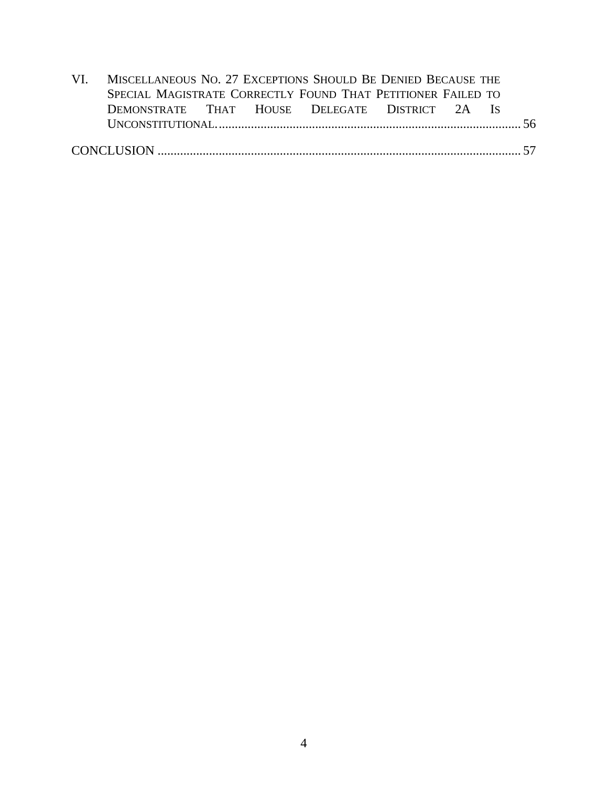| VI. MISCELLANEOUS NO. 27 EXCEPTIONS SHOULD BE DENIED BECAUSE THE |  |  |  |  |  |  |  |
|------------------------------------------------------------------|--|--|--|--|--|--|--|
| SPECIAL MAGISTRATE CORRECTLY FOUND THAT PETITIONER FAILED TO     |  |  |  |  |  |  |  |
| DEMONSTRATE THAT HOUSE DELEGATE DISTRICT 2A IS                   |  |  |  |  |  |  |  |
|                                                                  |  |  |  |  |  |  |  |
|                                                                  |  |  |  |  |  |  |  |
|                                                                  |  |  |  |  |  |  |  |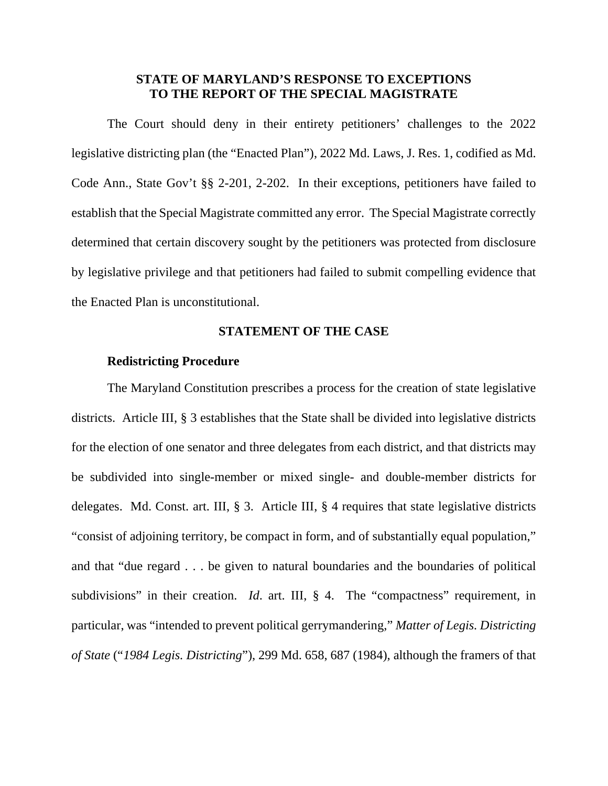### **STATE OF MARYLAND'S RESPONSE TO EXCEPTIONS TO THE REPORT OF THE SPECIAL MAGISTRATE**

The Court should deny in their entirety petitioners' challenges to the 2022 legislative districting plan (the "Enacted Plan"), 2022 Md. Laws, J. Res. 1, codified as Md. Code Ann., State Gov't §§ 2-201, 2-202. In their exceptions, petitioners have failed to establish that the Special Magistrate committed any error. The Special Magistrate correctly determined that certain discovery sought by the petitioners was protected from disclosure by legislative privilege and that petitioners had failed to submit compelling evidence that the Enacted Plan is unconstitutional.

#### **STATEMENT OF THE CASE**

### <span id="page-4-0"></span>**Redistricting Procedure**

<span id="page-4-1"></span>The Maryland Constitution prescribes a process for the creation of state legislative districts. Article III, § 3 establishes that the State shall be divided into legislative districts for the election of one senator and three delegates from each district, and that districts may be subdivided into single-member or mixed single- and double-member districts for delegates. Md. Const. art. III, § 3. Article III, § 4 requires that state legislative districts "consist of adjoining territory, be compact in form, and of substantially equal population," and that "due regard . . . be given to natural boundaries and the boundaries of political subdivisions" in their creation. *Id.* art. III, § 4. The "compactness" requirement, in particular, was "intended to prevent political gerrymandering," *Matter of Legis. Districting of State* ("*1984 Legis. Districting*"), 299 Md. 658, 687 (1984), although the framers of that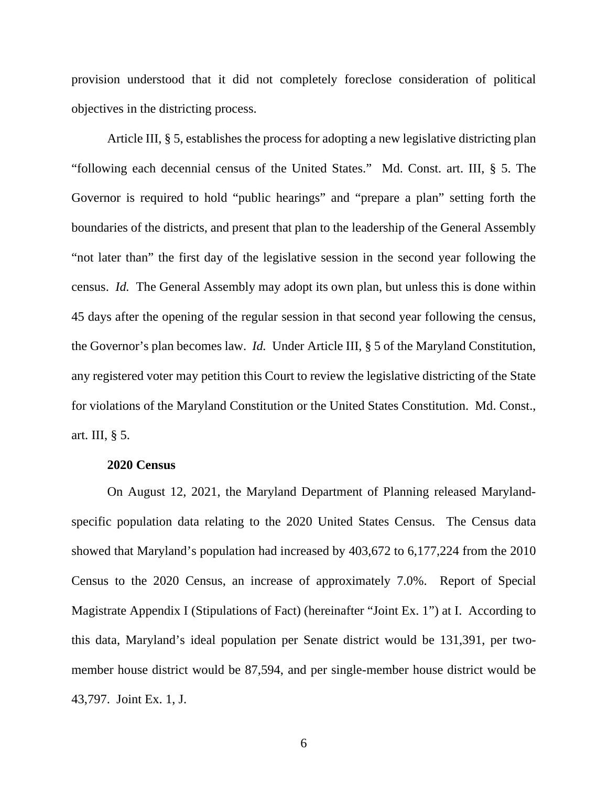provision understood that it did not completely foreclose consideration of political objectives in the districting process.

Article III, § 5, establishes the process for adopting a new legislative districting plan "following each decennial census of the United States." Md. Const. art. III, § 5. The Governor is required to hold "public hearings" and "prepare a plan" setting forth the boundaries of the districts, and present that plan to the leadership of the General Assembly "not later than" the first day of the legislative session in the second year following the census. *Id.* The General Assembly may adopt its own plan, but unless this is done within 45 days after the opening of the regular session in that second year following the census, the Governor's plan becomes law. *Id.* Under Article III, § 5 of the Maryland Constitution, any registered voter may petition this Court to review the legislative districting of the State for violations of the Maryland Constitution or the United States Constitution. Md. Const., art. III, § 5.

#### **2020 Census**

<span id="page-5-0"></span>On August 12, 2021, the Maryland Department of Planning released Marylandspecific population data relating to the 2020 United States Census. The Census data showed that Maryland's population had increased by 403,672 to 6,177,224 from the 2010 Census to the 2020 Census, an increase of approximately 7.0%. Report of Special Magistrate Appendix I (Stipulations of Fact) (hereinafter "Joint Ex. 1") at I. According to this data, Maryland's ideal population per Senate district would be 131,391, per twomember house district would be 87,594, and per single-member house district would be 43,797. Joint Ex. 1, J.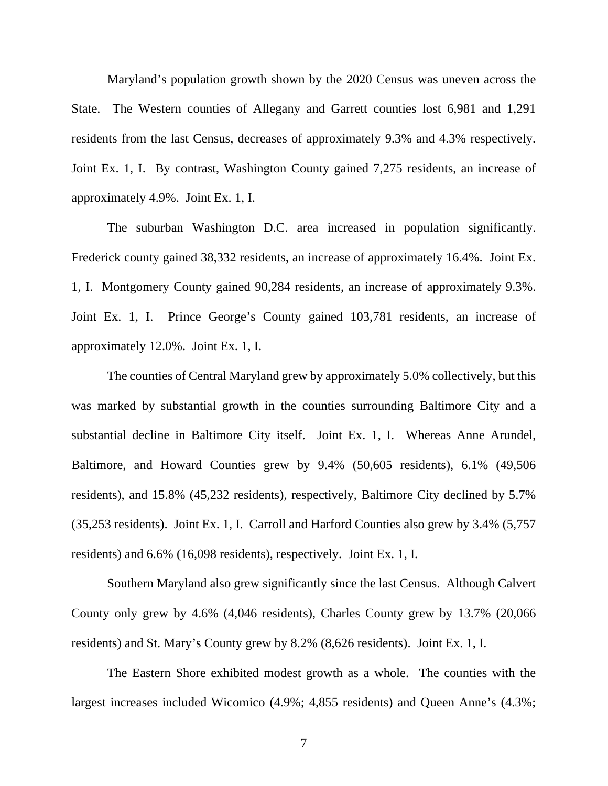Maryland's population growth shown by the 2020 Census was uneven across the State. The Western counties of Allegany and Garrett counties lost 6,981 and 1,291 residents from the last Census, decreases of approximately 9.3% and 4.3% respectively. Joint Ex. 1, I. By contrast, Washington County gained 7,275 residents, an increase of approximately 4.9%. Joint Ex. 1, I.

The suburban Washington D.C. area increased in population significantly. Frederick county gained 38,332 residents, an increase of approximately 16.4%. Joint Ex. 1, I. Montgomery County gained 90,284 residents, an increase of approximately 9.3%. Joint Ex. 1, I. Prince George's County gained 103,781 residents, an increase of approximately 12.0%. Joint Ex. 1, I.

The counties of Central Maryland grew by approximately 5.0% collectively, but this was marked by substantial growth in the counties surrounding Baltimore City and a substantial decline in Baltimore City itself. Joint Ex. 1, I. Whereas Anne Arundel, Baltimore, and Howard Counties grew by 9.4% (50,605 residents), 6.1% (49,506 residents), and 15.8% (45,232 residents), respectively, Baltimore City declined by 5.7% (35,253 residents). Joint Ex. 1, I. Carroll and Harford Counties also grew by 3.4% (5,757 residents) and 6.6% (16,098 residents), respectively. Joint Ex. 1, I.

Southern Maryland also grew significantly since the last Census. Although Calvert County only grew by 4.6% (4,046 residents), Charles County grew by 13.7% (20,066 residents) and St. Mary's County grew by 8.2% (8,626 residents). Joint Ex. 1, I.

The Eastern Shore exhibited modest growth as a whole. The counties with the largest increases included Wicomico (4.9%; 4,855 residents) and Queen Anne's (4.3%;

7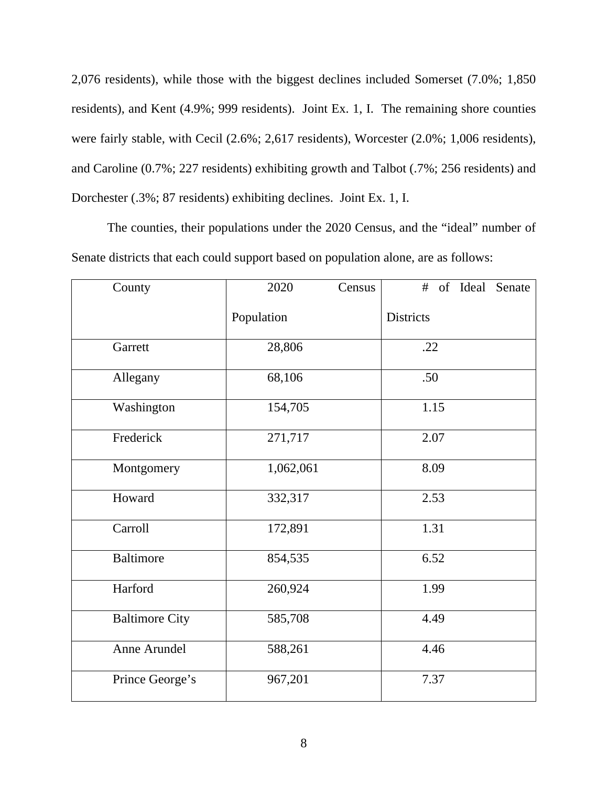2,076 residents), while those with the biggest declines included Somerset (7.0%; 1,850 residents), and Kent (4.9%; 999 residents). Joint Ex. 1, I. The remaining shore counties were fairly stable, with Cecil (2.6%; 2,617 residents), Worcester (2.0%; 1,006 residents), and Caroline (0.7%; 227 residents) exhibiting growth and Talbot (.7%; 256 residents) and Dorchester (.3%; 87 residents) exhibiting declines. Joint Ex. 1, I.

The counties, their populations under the 2020 Census, and the "ideal" number of Senate districts that each could support based on population alone, are as follows:

| County                | 2020       | Census | #                | of Ideal | Senate |
|-----------------------|------------|--------|------------------|----------|--------|
|                       | Population |        | <b>Districts</b> |          |        |
| Garrett               | 28,806     |        | .22              |          |        |
| Allegany              | 68,106     |        | .50              |          |        |
| Washington            | 154,705    |        | 1.15             |          |        |
| Frederick             | 271,717    |        | 2.07             |          |        |
| Montgomery            | 1,062,061  |        | 8.09             |          |        |
| Howard                | 332,317    |        | 2.53             |          |        |
| Carroll               | 172,891    |        | 1.31             |          |        |
| <b>Baltimore</b>      | 854,535    |        | 6.52             |          |        |
| Harford               | 260,924    |        | 1.99             |          |        |
| <b>Baltimore City</b> | 585,708    |        | 4.49             |          |        |
| Anne Arundel          | 588,261    |        | 4.46             |          |        |
| Prince George's       | 967,201    |        | 7.37             |          |        |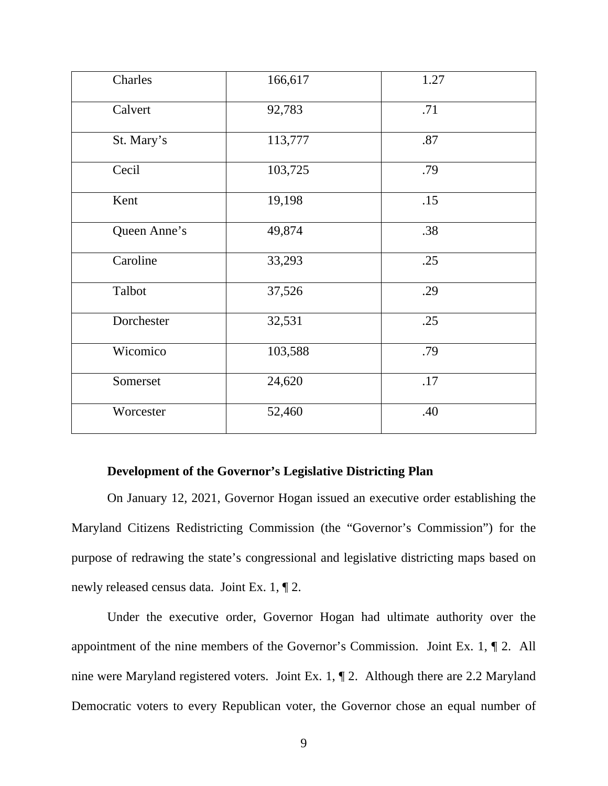| Charles      | 166,617 | 1.27 |
|--------------|---------|------|
| Calvert      | 92,783  | .71  |
| St. Mary's   | 113,777 | .87  |
| Cecil        | 103,725 | .79  |
| Kent         | 19,198  | .15  |
| Queen Anne's | 49,874  | .38  |
| Caroline     | 33,293  | .25  |
| Talbot       | 37,526  | .29  |
| Dorchester   | 32,531  | .25  |
| Wicomico     | 103,588 | .79  |
| Somerset     | 24,620  | .17  |
| Worcester    | 52,460  | .40  |

### **Development of the Governor's Legislative Districting Plan**

<span id="page-8-0"></span>On January 12, 2021, Governor Hogan issued an executive order establishing the Maryland Citizens Redistricting Commission (the "Governor's Commission") for the purpose of redrawing the state's congressional and legislative districting maps based on newly released census data. Joint Ex. 1, ¶ 2.

Under the executive order, Governor Hogan had ultimate authority over the appointment of the nine members of the Governor's Commission. Joint Ex. 1, ¶ 2. All nine were Maryland registered voters. Joint Ex. 1, ¶ 2. Although there are 2.2 Maryland Democratic voters to every Republican voter, the Governor chose an equal number of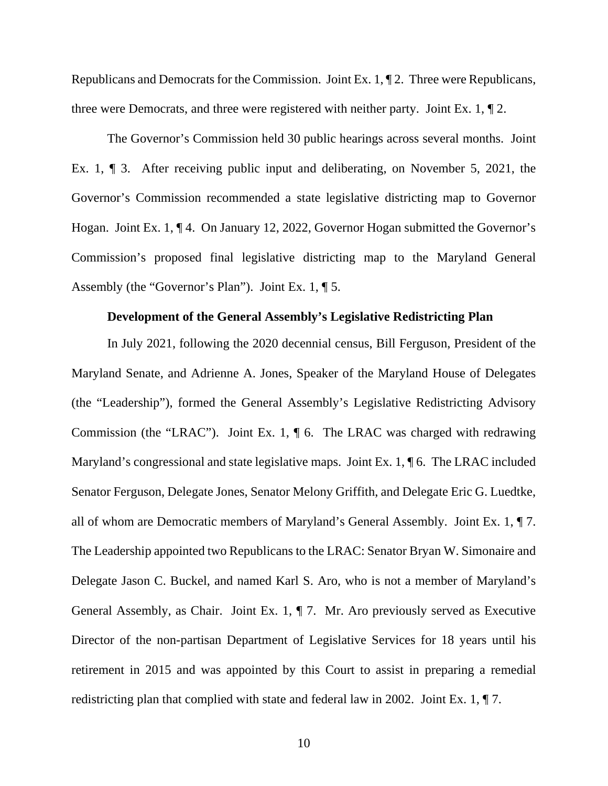Republicans and Democrats for the Commission. Joint Ex. 1, ¶ 2. Three were Republicans, three were Democrats, and three were registered with neither party. Joint Ex. 1, ¶ 2.

The Governor's Commission held 30 public hearings across several months. Joint Ex. 1, ¶ 3. After receiving public input and deliberating, on November 5, 2021, the Governor's Commission recommended a state legislative districting map to Governor Hogan. Joint Ex. 1, ¶ 4. On January 12, 2022, Governor Hogan submitted the Governor's Commission's proposed final legislative districting map to the Maryland General Assembly (the "Governor's Plan"). Joint Ex. 1, ¶ 5.

#### **Development of the General Assembly's Legislative Redistricting Plan**

<span id="page-9-0"></span>In July 2021, following the 2020 decennial census, Bill Ferguson, President of the Maryland Senate, and Adrienne A. Jones, Speaker of the Maryland House of Delegates (the "Leadership"), formed the General Assembly's Legislative Redistricting Advisory Commission (the "LRAC"). Joint Ex. 1, ¶ 6. The LRAC was charged with redrawing Maryland's congressional and state legislative maps. Joint Ex. 1, \intity 6. The LRAC included Senator Ferguson, Delegate Jones, Senator Melony Griffith, and Delegate Eric G. Luedtke, all of whom are Democratic members of Maryland's General Assembly. Joint Ex. 1, ¶ 7. The Leadership appointed two Republicans to the LRAC: Senator Bryan W. Simonaire and Delegate Jason C. Buckel, and named Karl S. Aro, who is not a member of Maryland's General Assembly, as Chair. Joint Ex. 1, ¶ 7. Mr. Aro previously served as Executive Director of the non-partisan Department of Legislative Services for 18 years until his retirement in 2015 and was appointed by this Court to assist in preparing a remedial redistricting plan that complied with state and federal law in 2002. Joint Ex. 1, ¶ 7.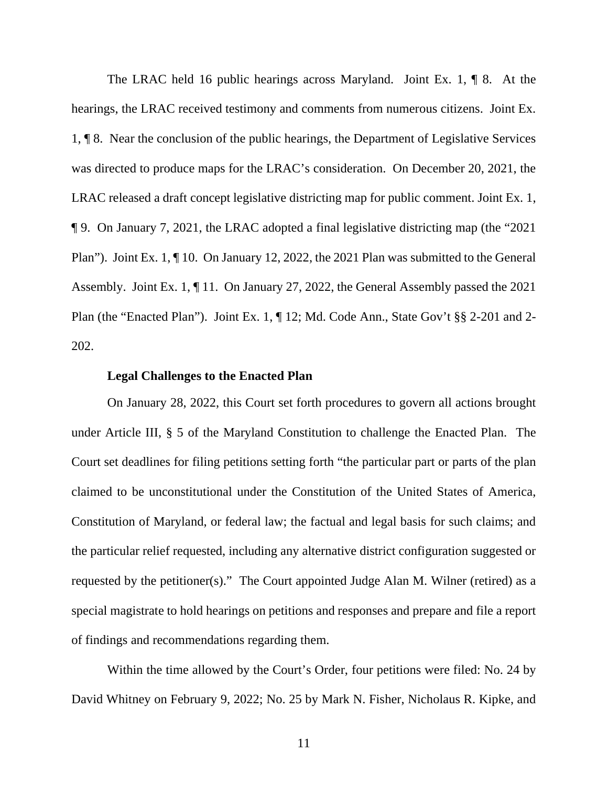The LRAC held 16 public hearings across Maryland. Joint Ex. 1, ¶ 8. At the hearings, the LRAC received testimony and comments from numerous citizens. Joint Ex. 1, ¶ 8. Near the conclusion of the public hearings, the Department of Legislative Services was directed to produce maps for the LRAC's consideration. On December 20, 2021, the LRAC released a draft concept legislative districting map for public comment. Joint Ex. 1, ¶ 9. On January 7, 2021, the LRAC adopted a final legislative districting map (the "2021 Plan"). Joint Ex. 1, ¶ 10. On January 12, 2022, the 2021 Plan was submitted to the General Assembly. Joint Ex. 1, ¶ 11. On January 27, 2022, the General Assembly passed the 2021 Plan (the "Enacted Plan"). Joint Ex. 1, ¶ 12; Md. Code Ann., State Gov't §§ 2-201 and 2- 202.

#### **Legal Challenges to the Enacted Plan**

<span id="page-10-0"></span>On January 28, 2022, this Court set forth procedures to govern all actions brought under Article III, § 5 of the Maryland Constitution to challenge the Enacted Plan. The Court set deadlines for filing petitions setting forth "the particular part or parts of the plan claimed to be unconstitutional under the Constitution of the United States of America, Constitution of Maryland, or federal law; the factual and legal basis for such claims; and the particular relief requested, including any alternative district configuration suggested or requested by the petitioner(s)." The Court appointed Judge Alan M. Wilner (retired) as a special magistrate to hold hearings on petitions and responses and prepare and file a report of findings and recommendations regarding them.

Within the time allowed by the Court's Order, four petitions were filed: No. 24 by David Whitney on February 9, 2022; No. 25 by Mark N. Fisher, Nicholaus R. Kipke, and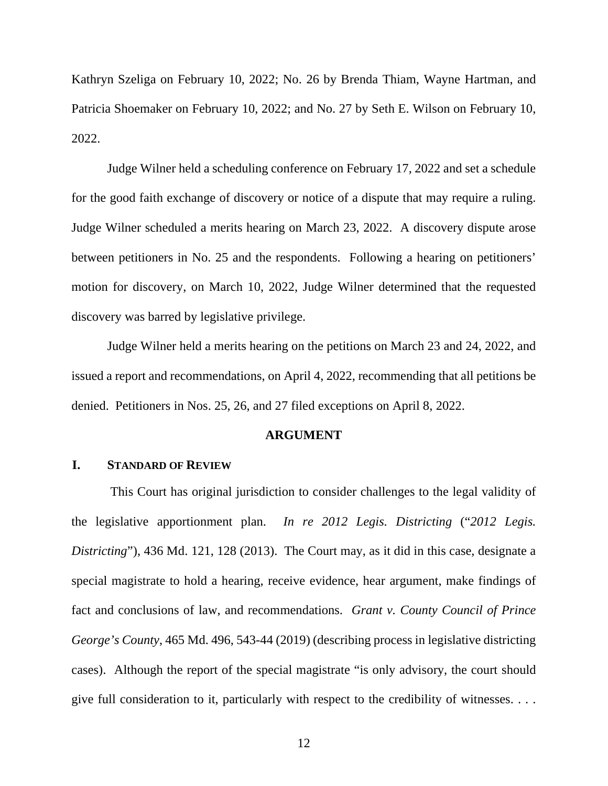Kathryn Szeliga on February 10, 2022; No. 26 by Brenda Thiam, Wayne Hartman, and Patricia Shoemaker on February 10, 2022; and No. 27 by Seth E. Wilson on February 10, 2022.

Judge Wilner held a scheduling conference on February 17, 2022 and set a schedule for the good faith exchange of discovery or notice of a dispute that may require a ruling. Judge Wilner scheduled a merits hearing on March 23, 2022. A discovery dispute arose between petitioners in No. 25 and the respondents. Following a hearing on petitioners' motion for discovery, on March 10, 2022, Judge Wilner determined that the requested discovery was barred by legislative privilege.

Judge Wilner held a merits hearing on the petitions on March 23 and 24, 2022, and issued a report and recommendations, on April 4, 2022, recommending that all petitions be denied. Petitioners in Nos. 25, 26, and 27 filed exceptions on April 8, 2022.

#### **ARGUMENT**

### <span id="page-11-1"></span><span id="page-11-0"></span>**I. STANDARD OF REVIEW**

This Court has original jurisdiction to consider challenges to the legal validity of the legislative apportionment plan. *In re 2012 Legis. Districting* ("*2012 Legis. Districting*"), 436 Md. 121, 128 (2013). The Court may, as it did in this case, designate a special magistrate to hold a hearing, receive evidence, hear argument, make findings of fact and conclusions of law, and recommendations. *Grant v. County Council of Prince George's County*, 465 Md. 496, 543-44 (2019) (describing process in legislative districting cases). Although the report of the special magistrate "is only advisory, the court should give full consideration to it, particularly with respect to the credibility of witnesses. . . .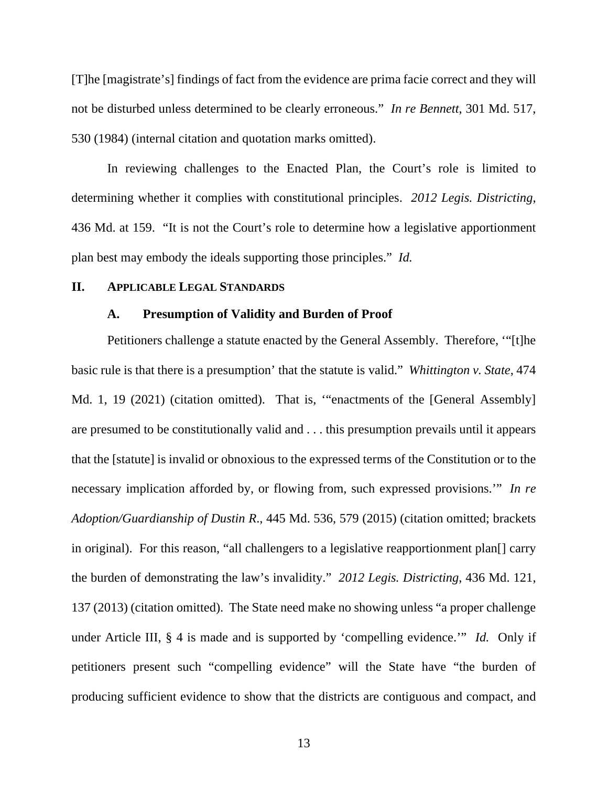[T]he [magistrate's] findings of fact from the evidence are prima facie correct and they will not be disturbed unless determined to be clearly erroneous." *In re Bennett*, 301 Md. 517, 530 (1984) (internal citation and quotation marks omitted).

In reviewing challenges to the Enacted Plan, the Court's role is limited to determining whether it complies with constitutional principles. *2012 Legis. Districting*, 436 Md. at 159. "It is not the Court's role to determine how a legislative apportionment plan best may embody the ideals supporting those principles." *Id.*

#### <span id="page-12-1"></span><span id="page-12-0"></span>**II. APPLICABLE LEGAL STANDARDS**

#### **A. Presumption of Validity and Burden of Proof**

Petitioners challenge a statute enacted by the General Assembly. Therefore, '"[t]he basic rule is that there is a presumption' that the statute is valid." *Whittington v. State*, 474 Md. 1, 19 (2021) (citation omitted). That is, '"enactments of the [General Assembly] are presumed to be constitutionally valid and . . . this presumption prevails until it appears that the [statute] is invalid or obnoxious to the expressed terms of the Constitution or to the necessary implication afforded by, or flowing from, such expressed provisions.'" *In re Adoption/Guardianship of Dustin R*., 445 Md. 536, 579 (2015) (citation omitted; brackets in original). For this reason, "all challengers to a legislative reapportionment plan[] carry the burden of demonstrating the law's invalidity." *2012 Legis. Districting*, 436 Md. 121, 137 (2013) (citation omitted). The State need make no showing unless "a proper challenge under Article III, § 4 is made and is supported by 'compelling evidence.'" *Id.* Only if petitioners present such "compelling evidence" will the State have "the burden of producing sufficient evidence to show that the districts are contiguous and compact, and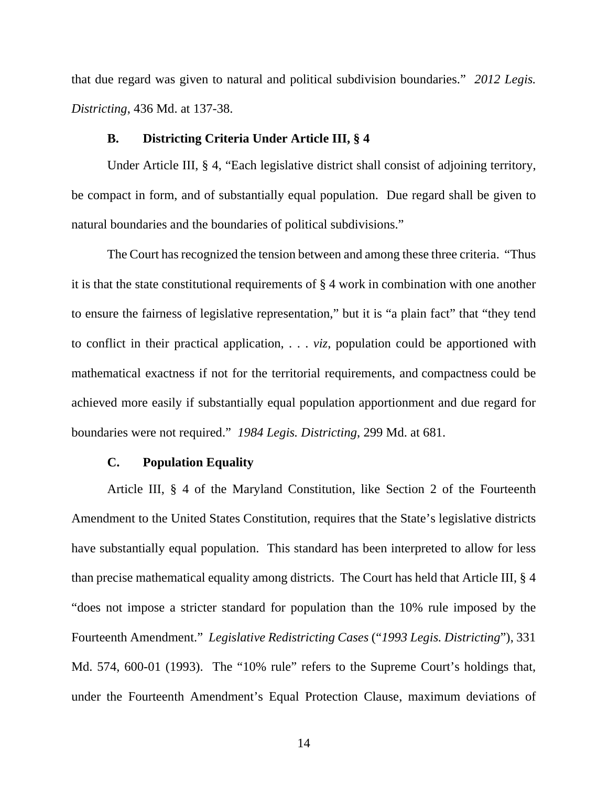that due regard was given to natural and political subdivision boundaries." *2012 Legis. Districting*, 436 Md. at 137-38.

#### **B. Districting Criteria Under Article III, § 4**

<span id="page-13-0"></span>Under Article III, § 4, "Each legislative district shall consist of adjoining territory, be compact in form, and of substantially equal population. Due regard shall be given to natural boundaries and the boundaries of political subdivisions."

The Court has recognized the tension between and among these three criteria. "Thus it is that the state constitutional requirements of § 4 work in combination with one another to ensure the fairness of legislative representation," but it is "a plain fact" that "they tend to conflict in their practical application, . . . *viz*, population could be apportioned with mathematical exactness if not for the territorial requirements, and compactness could be achieved more easily if substantially equal population apportionment and due regard for boundaries were not required." *1984 Legis. Districting*, 299 Md. at 681.

#### **C. Population Equality**

<span id="page-13-1"></span>Article III, § 4 of the Maryland Constitution, like Section 2 of the Fourteenth Amendment to the United States Constitution, requires that the State's legislative districts have substantially equal population. This standard has been interpreted to allow for less than precise mathematical equality among districts. The Court has held that Article III, § 4 "does not impose a stricter standard for population than the 10% rule imposed by the Fourteenth Amendment." *Legislative Redistricting Cases* ("*1993 Legis. Districting*"), 331 Md. 574, 600-01 (1993). The "10% rule" refers to the Supreme Court's holdings that, under the Fourteenth Amendment's Equal Protection Clause, maximum deviations of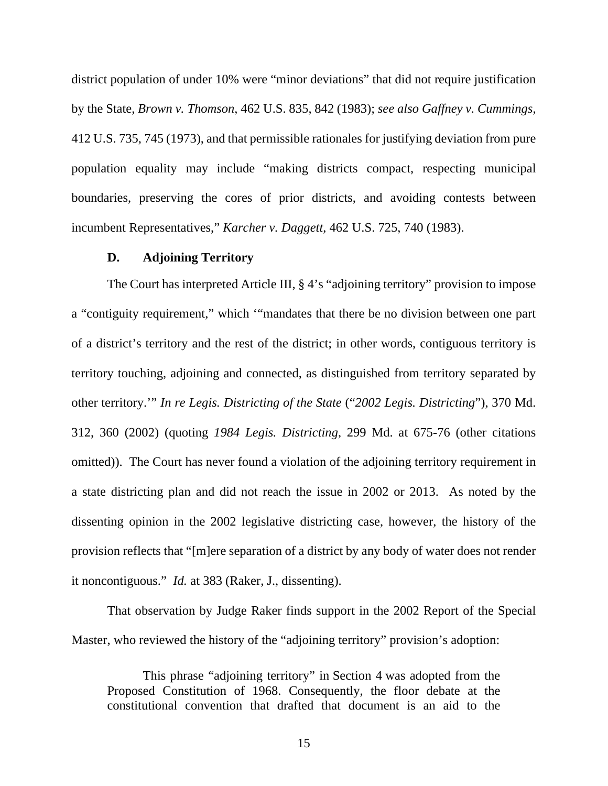district population of under 10% were "minor deviations" that did not require justification by the State, *Brown v. Thomson*, 462 U.S. 835, 842 (1983); *see also Gaffney v. Cummings*, 412 U.S. 735, 745 (1973), and that permissible rationales for justifying deviation from pure population equality may include "making districts compact, respecting municipal boundaries, preserving the cores of prior districts, and avoiding contests between incumbent Representatives," *Karcher v. Daggett*, 462 U.S. 725, 740 (1983).

#### **D. Adjoining Territory**

<span id="page-14-0"></span>The Court has interpreted Article III, § 4's "adjoining territory" provision to impose a "contiguity requirement," which '"mandates that there be no division between one part of a district's territory and the rest of the district; in other words, contiguous territory is territory touching, adjoining and connected, as distinguished from territory separated by other territory.'" *In re Legis. Districting of the State* ("*2002 Legis. Districting*"), 370 Md. 312, 360 (2002) (quoting *1984 Legis. Districting*, 299 Md. at 675-76 (other citations omitted)). The Court has never found a violation of the adjoining territory requirement in a state districting plan and did not reach the issue in 2002 or 2013. As noted by the dissenting opinion in the 2002 legislative districting case, however, the history of the provision reflects that "[m]ere separation of a district by any body of water does not render it noncontiguous." *Id.* at 383 (Raker, J., dissenting).

That observation by Judge Raker finds support in the 2002 Report of the Special Master, who reviewed the history of the "adjoining territory" provision's adoption:

This phrase "adjoining territory" in Section 4 was adopted from the Proposed Constitution of 1968. Consequently, the floor debate at the constitutional convention that drafted that document is an aid to the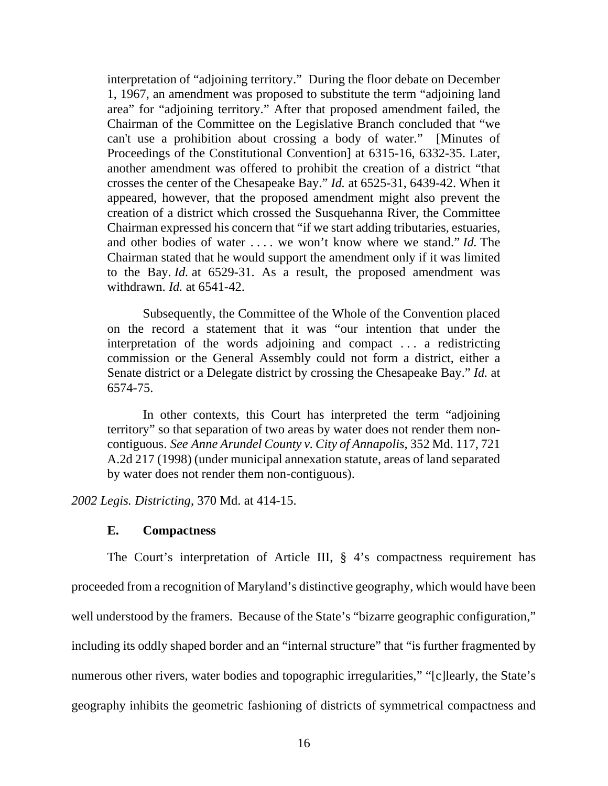interpretation of "adjoining territory." During the floor debate on December 1, 1967, an amendment was proposed to substitute the term "adjoining land area" for "adjoining territory." After that proposed amendment failed, the Chairman of the Committee on the Legislative Branch concluded that "we can't use a prohibition about crossing a body of water." [Minutes of Proceedings of the Constitutional Convention] at 6315-16, 6332-35. Later, another amendment was offered to prohibit the creation of a district "that crosses the center of the Chesapeake Bay." *Id.* at 6525-31, 6439-42. When it appeared, however, that the proposed amendment might also prevent the creation of a district which crossed the Susquehanna River, the Committee Chairman expressed his concern that "if we start adding tributaries, estuaries, and other bodies of water . . . . we won't know where we stand." *Id.* The Chairman stated that he would support the amendment only if it was limited to the Bay. *Id.* at 6529-31. As a result, the proposed amendment was withdrawn. *Id.* at 6541-42.

Subsequently, the Committee of the Whole of the Convention placed on the record a statement that it was "our intention that under the interpretation of the words adjoining and compact . . . a redistricting commission or the General Assembly could not form a district, either a Senate district or a Delegate district by crossing the Chesapeake Bay." *Id.* at 6574-75.

In other contexts, this Court has interpreted the term "adjoining territory" so that separation of two areas by water does not render them noncontiguous. *See Anne Arundel County v. City of Annapolis*, 352 Md. 117, 721 A.2d 217 (1998) (under municipal annexation statute, areas of land separated by water does not render them non-contiguous).

<span id="page-15-0"></span>*2002 Legis. Districting*, 370 Md. at 414-15.

#### **E. Compactness**

The Court's interpretation of Article III, § 4's compactness requirement has proceeded from a recognition of Maryland's distinctive geography, which would have been well understood by the framers. Because of the State's "bizarre geographic configuration," including its oddly shaped border and an "internal structure" that "is further fragmented by numerous other rivers, water bodies and topographic irregularities," "[c]learly, the State's geography inhibits the geometric fashioning of districts of symmetrical compactness and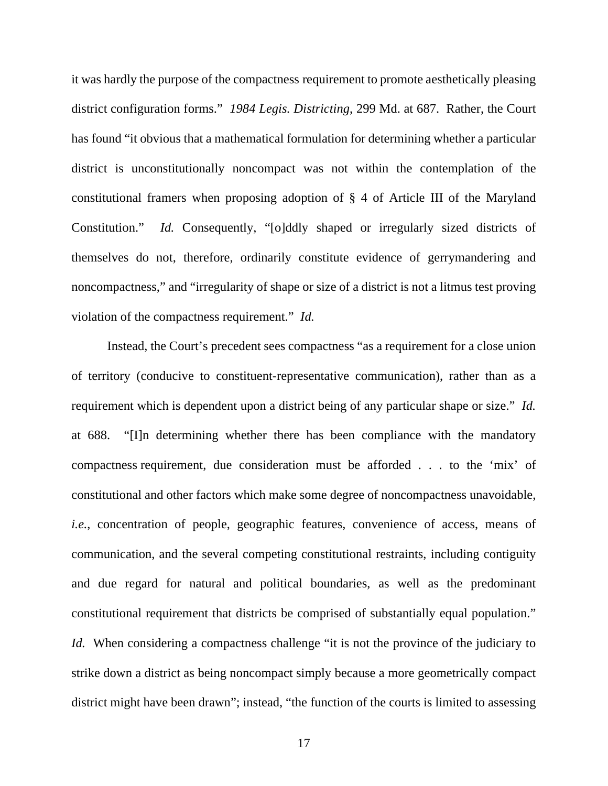it was hardly the purpose of the compactness requirement to promote aesthetically pleasing district configuration forms." *1984 Legis. Districting*, 299 Md. at 687. Rather, the Court has found "it obvious that a mathematical formulation for determining whether a particular district is unconstitutionally noncompact was not within the contemplation of the constitutional framers when proposing adoption of § 4 of Article III of the Maryland Constitution." *Id.* Consequently, "[o]ddly shaped or irregularly sized districts of themselves do not, therefore, ordinarily constitute evidence of gerrymandering and noncompactness," and "irregularity of shape or size of a district is not a litmus test proving violation of the compactness requirement." *Id.*

Instead, the Court's precedent sees compactness "as a requirement for a close union of territory (conducive to constituent-representative communication), rather than as a requirement which is dependent upon a district being of any particular shape or size." *Id.* at 688. "[I]n determining whether there has been compliance with the mandatory compactness requirement, due consideration must be afforded . . . to the 'mix' of constitutional and other factors which make some degree of noncompactness unavoidable, *i.e.*, concentration of people, geographic features, convenience of access, means of communication, and the several competing constitutional restraints, including contiguity and due regard for natural and political boundaries, as well as the predominant constitutional requirement that districts be comprised of substantially equal population." *Id.* When considering a compactness challenge "it is not the province of the judiciary to strike down a district as being noncompact simply because a more geometrically compact district might have been drawn"; instead, "the function of the courts is limited to assessing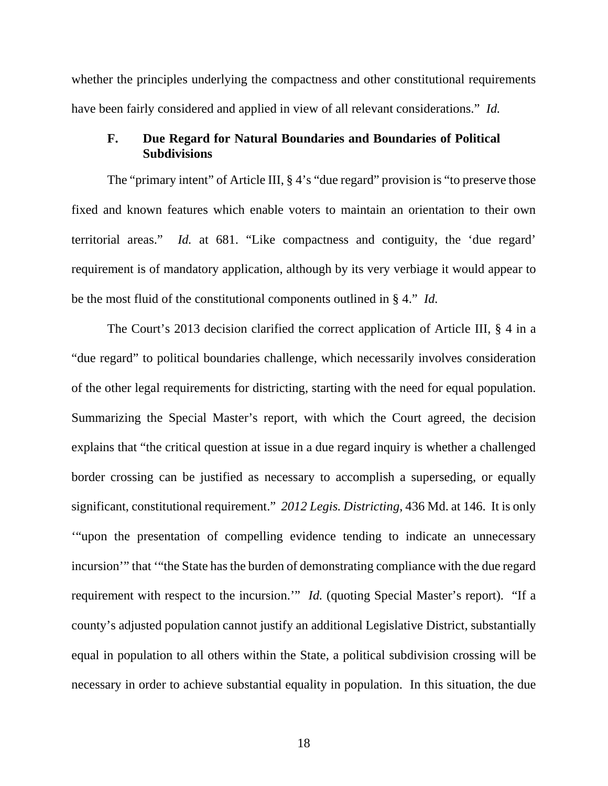whether the principles underlying the compactness and other constitutional requirements have been fairly considered and applied in view of all relevant considerations." *Id.*

### <span id="page-17-0"></span>**F. Due Regard for Natural Boundaries and Boundaries of Political Subdivisions**

The "primary intent" of Article III, § 4's "due regard" provision is "to preserve those fixed and known features which enable voters to maintain an orientation to their own territorial areas." *Id.* at 681. "Like compactness and contiguity, the 'due regard' requirement is of mandatory application, although by its very verbiage it would appear to be the most fluid of the constitutional components outlined in § 4." *Id.*

The Court's 2013 decision clarified the correct application of Article III, § 4 in a "due regard" to political boundaries challenge, which necessarily involves consideration of the other legal requirements for districting, starting with the need for equal population. Summarizing the Special Master's report, with which the Court agreed, the decision explains that "the critical question at issue in a due regard inquiry is whether a challenged border crossing can be justified as necessary to accomplish a superseding, or equally significant, constitutional requirement." *2012 Legis. Districting*, 436 Md. at 146. It is only '"upon the presentation of compelling evidence tending to indicate an unnecessary incursion'" that '"the State has the burden of demonstrating compliance with the due regard requirement with respect to the incursion.'" *Id.* (quoting Special Master's report). "If a county's adjusted population cannot justify an additional Legislative District, substantially equal in population to all others within the State, a political subdivision crossing will be necessary in order to achieve substantial equality in population. In this situation, the due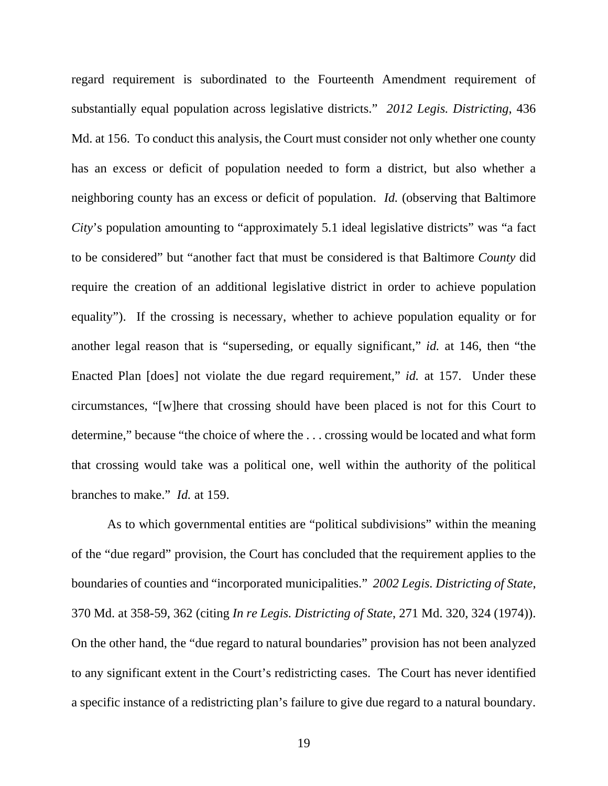regard requirement is subordinated to the Fourteenth Amendment requirement of substantially equal population across legislative districts." *2012 Legis. Districting*, 436 Md. at 156. To conduct this analysis, the Court must consider not only whether one county has an excess or deficit of population needed to form a district, but also whether a neighboring county has an excess or deficit of population. *Id.* (observing that Baltimore *City*'s population amounting to "approximately 5.1 ideal legislative districts" was "a fact to be considered" but "another fact that must be considered is that Baltimore *County* did require the creation of an additional legislative district in order to achieve population equality"). If the crossing is necessary, whether to achieve population equality or for another legal reason that is "superseding, or equally significant," *id.* at 146, then "the Enacted Plan [does] not violate the due regard requirement," *id.* at 157. Under these circumstances, "[w]here that crossing should have been placed is not for this Court to determine," because "the choice of where the . . . crossing would be located and what form that crossing would take was a political one, well within the authority of the political branches to make." *Id.* at 159.

As to which governmental entities are "political subdivisions" within the meaning of the "due regard" provision, the Court has concluded that the requirement applies to the boundaries of counties and "incorporated municipalities." *2002 Legis. Districting of State*, 370 Md. at 358-59, 362 (citing *In re Legis. Districting of State*, 271 Md. 320, 324 (1974)). On the other hand, the "due regard to natural boundaries" provision has not been analyzed to any significant extent in the Court's redistricting cases. The Court has never identified a specific instance of a redistricting plan's failure to give due regard to a natural boundary.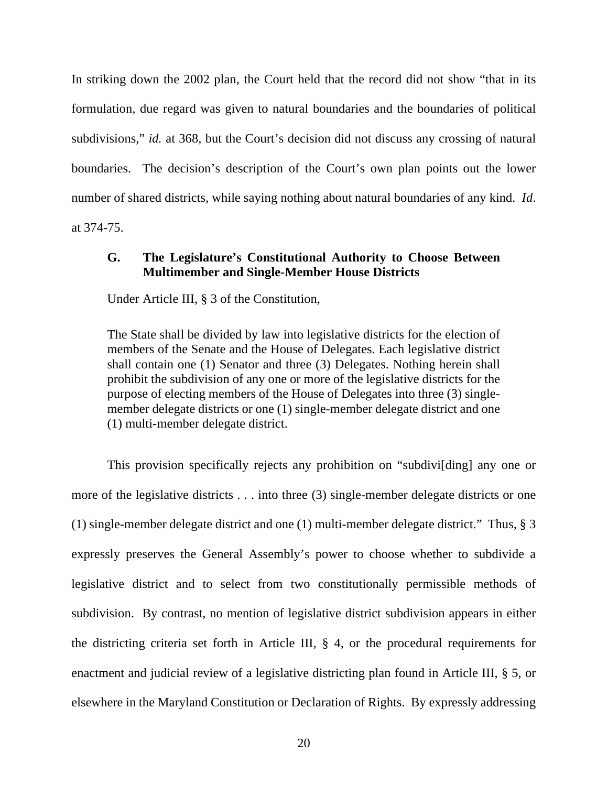In striking down the 2002 plan, the Court held that the record did not show "that in its formulation, due regard was given to natural boundaries and the boundaries of political subdivisions," *id.* at 368, but the Court's decision did not discuss any crossing of natural boundaries. The decision's description of the Court's own plan points out the lower number of shared districts, while saying nothing about natural boundaries of any kind. *Id*.

<span id="page-19-0"></span>at 374-75.

# **G. The Legislature's Constitutional Authority to Choose Between Multimember and Single-Member House Districts**

Under Article III, § 3 of the Constitution,

The State shall be divided by law into legislative districts for the election of members of the Senate and the House of Delegates. Each legislative district shall contain one (1) Senator and three (3) Delegates. Nothing herein shall prohibit the subdivision of any one or more of the legislative districts for the purpose of electing members of the House of Delegates into three (3) singlemember delegate districts or one (1) single-member delegate district and one (1) multi-member delegate district.

This provision specifically rejects any prohibition on "subdivi[ding] any one or more of the legislative districts . . . into three (3) single-member delegate districts or one (1) single-member delegate district and one (1) multi-member delegate district." Thus, § 3 expressly preserves the General Assembly's power to choose whether to subdivide a legislative district and to select from two constitutionally permissible methods of subdivision. By contrast, no mention of legislative district subdivision appears in either the districting criteria set forth in Article III, § 4, or the procedural requirements for enactment and judicial review of a legislative districting plan found in Article III, § 5, or elsewhere in the Maryland Constitution or Declaration of Rights. By expressly addressing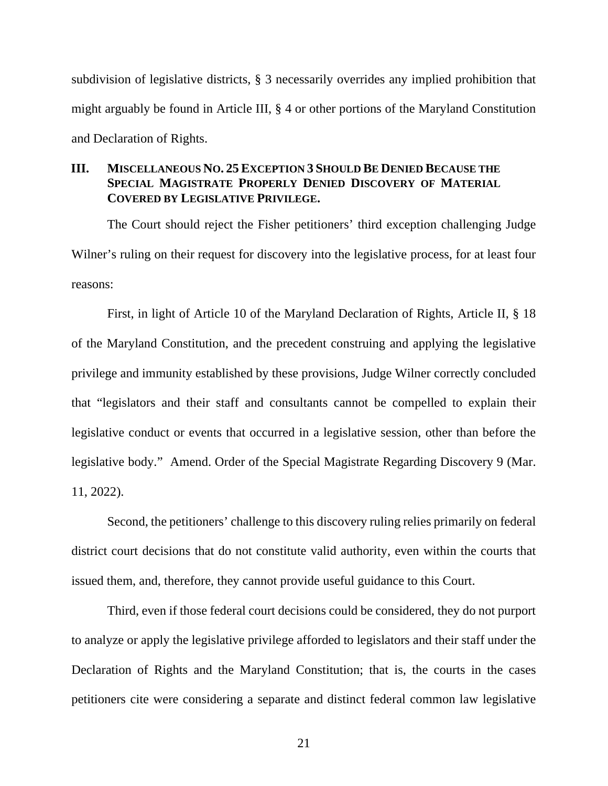subdivision of legislative districts, § 3 necessarily overrides any implied prohibition that might arguably be found in Article III, § 4 or other portions of the Maryland Constitution and Declaration of Rights.

### <span id="page-20-0"></span>**III. MISCELLANEOUS NO. 25EXCEPTION 3 SHOULD BE DENIED BECAUSE THE SPECIAL MAGISTRATE PROPERLY DENIED DISCOVERY OF MATERIAL COVERED BY LEGISLATIVE PRIVILEGE.**

The Court should reject the Fisher petitioners' third exception challenging Judge Wilner's ruling on their request for discovery into the legislative process, for at least four reasons:

First, in light of Article 10 of the Maryland Declaration of Rights, Article II, § 18 of the Maryland Constitution, and the precedent construing and applying the legislative privilege and immunity established by these provisions, Judge Wilner correctly concluded that "legislators and their staff and consultants cannot be compelled to explain their legislative conduct or events that occurred in a legislative session, other than before the legislative body." Amend. Order of the Special Magistrate Regarding Discovery 9 (Mar. 11, 2022).

Second, the petitioners' challenge to this discovery ruling relies primarily on federal district court decisions that do not constitute valid authority, even within the courts that issued them, and, therefore, they cannot provide useful guidance to this Court.

Third, even if those federal court decisions could be considered, they do not purport to analyze or apply the legislative privilege afforded to legislators and their staff under the Declaration of Rights and the Maryland Constitution; that is, the courts in the cases petitioners cite were considering a separate and distinct federal common law legislative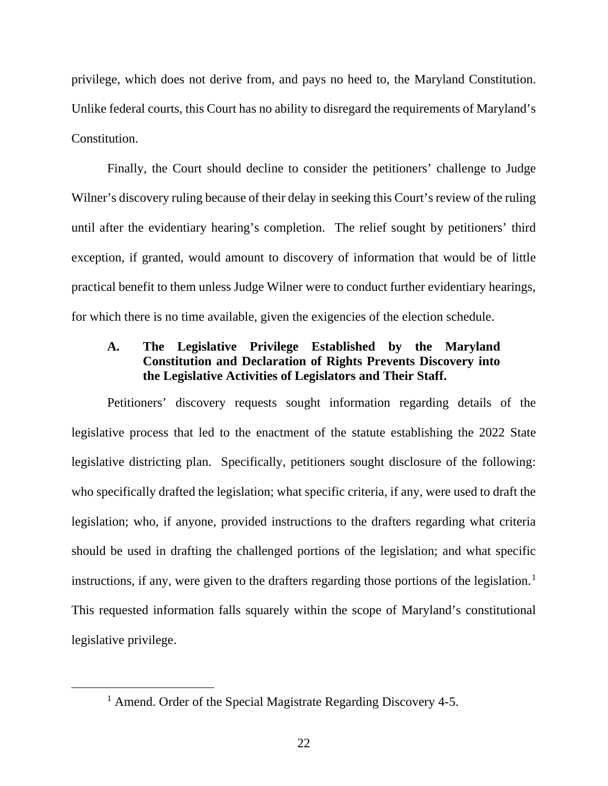privilege, which does not derive from, and pays no heed to, the Maryland Constitution. Unlike federal courts, this Court has no ability to disregard the requirements of Maryland's Constitution.

Finally, the Court should decline to consider the petitioners' challenge to Judge Wilner's discovery ruling because of their delay in seeking this Court's review of the ruling until after the evidentiary hearing's completion. The relief sought by petitioners' third exception, if granted, would amount to discovery of information that would be of little practical benefit to them unless Judge Wilner were to conduct further evidentiary hearings, for which there is no time available, given the exigencies of the election schedule.

# <span id="page-21-0"></span>**A. The Legislative Privilege Established by the Maryland Constitution and Declaration of Rights Prevents Discovery into the Legislative Activities of Legislators and Their Staff.**

Petitioners' discovery requests sought information regarding details of the legislative process that led to the enactment of the statute establishing the 2022 State legislative districting plan. Specifically, petitioners sought disclosure of the following: who specifically drafted the legislation; what specific criteria, if any, were used to draft the legislation; who, if anyone, provided instructions to the drafters regarding what criteria should be used in drafting the challenged portions of the legislation; and what specific instructions, if any, were given to the drafters regarding those portions of the legislation.<sup>[1](#page-21-1)</sup> This requested information falls squarely within the scope of Maryland's constitutional legislative privilege.

<span id="page-21-1"></span><sup>&</sup>lt;sup>1</sup> Amend. Order of the Special Magistrate Regarding Discovery 4-5.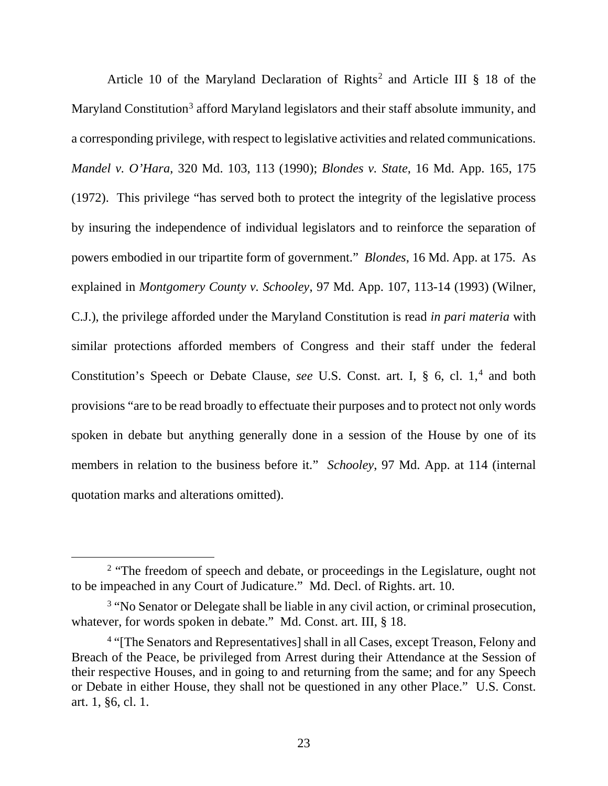Article 10 of the Maryland Declaration of Rights<sup>[2](#page-22-0)</sup> and Article III  $\S$  18 of the Maryland Constitution<sup>[3](#page-22-1)</sup> afford Maryland legislators and their staff absolute immunity, and a corresponding privilege, with respect to legislative activities and related communications. *Mandel v. O'Hara*, 320 Md. 103, 113 (1990); *Blondes v. State*, 16 Md. App. 165, 175 (1972). This privilege "has served both to protect the integrity of the legislative process by insuring the independence of individual legislators and to reinforce the separation of powers embodied in our tripartite form of government." *Blondes*, 16 Md. App. at 175. As explained in *Montgomery County v. Schooley*, 97 Md. App. 107, 113-14 (1993) (Wilner, C.J.), the privilege afforded under the Maryland Constitution is read *in pari materia* with similar protections afforded members of Congress and their staff under the federal Constitution's Speech or Debate Clause, *see U.S.* Const. art. I, § 6, cl. 1,<sup>[4](#page-22-2)</sup> and both provisions "are to be read broadly to effectuate their purposes and to protect not only words spoken in debate but anything generally done in a session of the House by one of its members in relation to the business before it." *Schooley*, 97 Md. App. at 114 (internal quotation marks and alterations omitted).

<span id="page-22-0"></span><sup>&</sup>lt;sup>2</sup> "The freedom of speech and debate, or proceedings in the Legislature, ought not to be impeached in any Court of Judicature." Md. Decl. of Rights. art. 10.

<span id="page-22-1"></span><sup>&</sup>lt;sup>3</sup> "No Senator or Delegate shall be liable in any civil action, or criminal prosecution, whatever, for words spoken in debate." Md. Const. art. III, § 18.

<span id="page-22-2"></span><sup>&</sup>lt;sup>4</sup> "The Senators and Representatives] shall in all Cases, except Treason, Felony and Breach of the Peace, be privileged from Arrest during their Attendance at the Session of their respective Houses, and in going to and returning from the same; and for any Speech or Debate in either House, they shall not be questioned in any other Place." U.S. Const. art. 1, §6, cl. 1.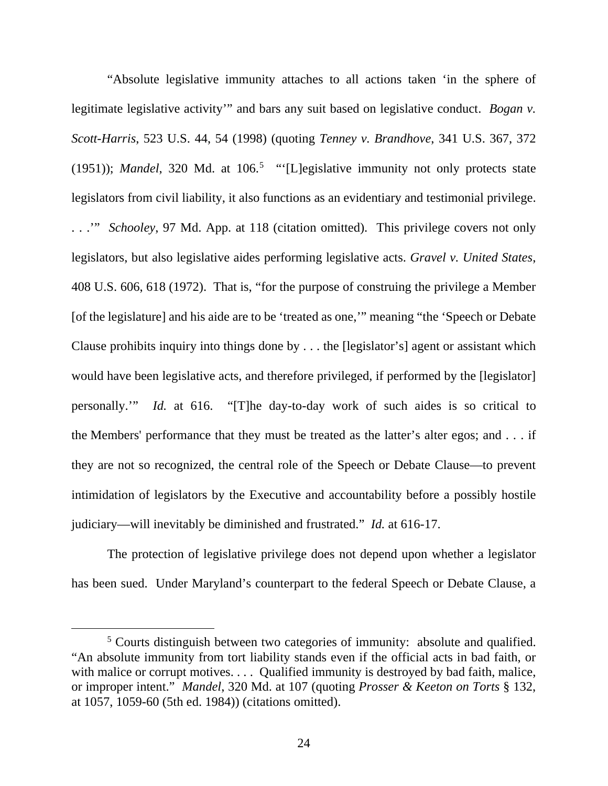"Absolute legislative immunity attaches to all actions taken 'in the sphere of legitimate legislative activity'" and bars any suit based on legislative conduct. *Bogan v. Scott-Harris*, 523 U.S. 44, 54 (1998) (quoting *Tenney v. Brandhove*, 341 U.S. 367, 372 (19[5](#page-23-0)1)); *Mandel*, 320 Md. at 106.<sup>5</sup> "[L]egislative immunity not only protects state legislators from civil liability, it also functions as an evidentiary and testimonial privilege. . . .'" *Schooley*, 97 Md. App. at 118 (citation omitted). This privilege covers not only legislators, but also legislative aides performing legislative acts. *Gravel v. United States*, 408 U.S. 606, 618 (1972). That is, "for the purpose of construing the privilege a Member [of the legislature] and his aide are to be 'treated as one,'" meaning "the 'Speech or Debate Clause prohibits inquiry into things done by . . . the [legislator's] agent or assistant which would have been legislative acts, and therefore privileged, if performed by the [legislator] personally.'" *Id.* at 616. "[T]he day-to-day work of such aides is so critical to the Members' performance that they must be treated as the latter's alter egos; and . . . if they are not so recognized, the central role of the Speech or Debate Clause—to prevent intimidation of legislators by the Executive and accountability before a possibly hostile judiciary—will inevitably be diminished and frustrated." *Id.* at 616-17.

The protection of legislative privilege does not depend upon whether a legislator has been sued. Under Maryland's counterpart to the federal Speech or Debate Clause, a

<span id="page-23-0"></span><sup>&</sup>lt;sup>5</sup> Courts distinguish between two categories of immunity: absolute and qualified. "An absolute immunity from tort liability stands even if the official acts in bad faith, or with malice or corrupt motives. . . . Oualified immunity is destroyed by bad faith, malice, or improper intent." *Mandel*, 320 Md. at 107 (quoting *Prosser & Keeton on Torts* § 132, at 1057, 1059-60 (5th ed. 1984)) (citations omitted).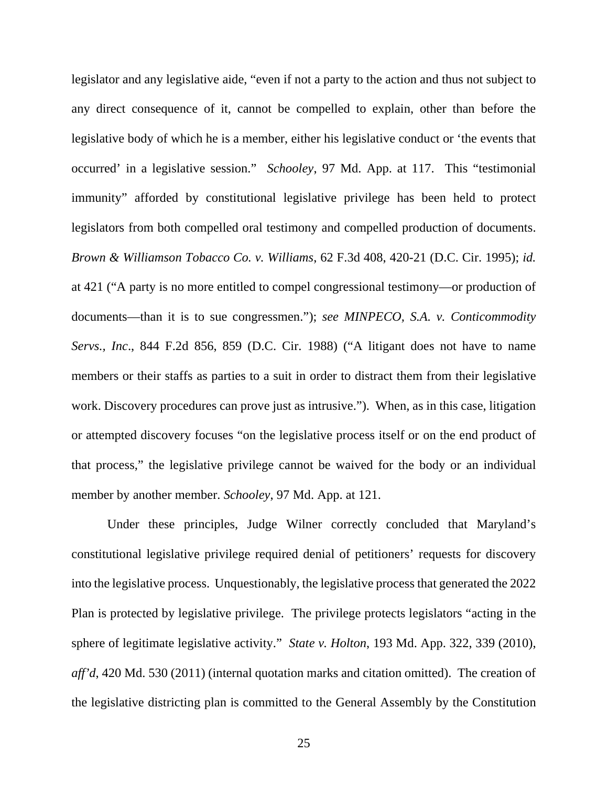legislator and any legislative aide, "even if not a party to the action and thus not subject to any direct consequence of it, cannot be compelled to explain, other than before the legislative body of which he is a member, either his legislative conduct or 'the events that occurred' in a legislative session." *Schooley*, 97 Md. App. at 117. This "testimonial immunity" afforded by constitutional legislative privilege has been held to protect legislators from both compelled oral testimony and compelled production of documents. *Brown & Williamson Tobacco Co. v. Williams*, 62 F.3d 408, 420-21 (D.C. Cir. 1995); *id.* at 421 ("A party is no more entitled to compel congressional testimony—or production of documents—than it is to sue congressmen."); *see MINPECO, S.A. v. Conticommodity Servs., Inc*., 844 F.2d 856, 859 (D.C. Cir. 1988) ("A litigant does not have to name members or their staffs as parties to a suit in order to distract them from their legislative work. Discovery procedures can prove just as intrusive."). When, as in this case, litigation or attempted discovery focuses "on the legislative process itself or on the end product of that process," the legislative privilege cannot be waived for the body or an individual member by another member. *Schooley*, 97 Md. App. at 121.

Under these principles, Judge Wilner correctly concluded that Maryland's constitutional legislative privilege required denial of petitioners' requests for discovery into the legislative process. Unquestionably, the legislative process that generated the 2022 Plan is protected by legislative privilege. The privilege protects legislators "acting in the sphere of legitimate legislative activity." *State v. Holton*, 193 Md. App. 322, 339 (2010), *aff'd*, 420 Md. 530 (2011) (internal quotation marks and citation omitted). The creation of the legislative districting plan is committed to the General Assembly by the Constitution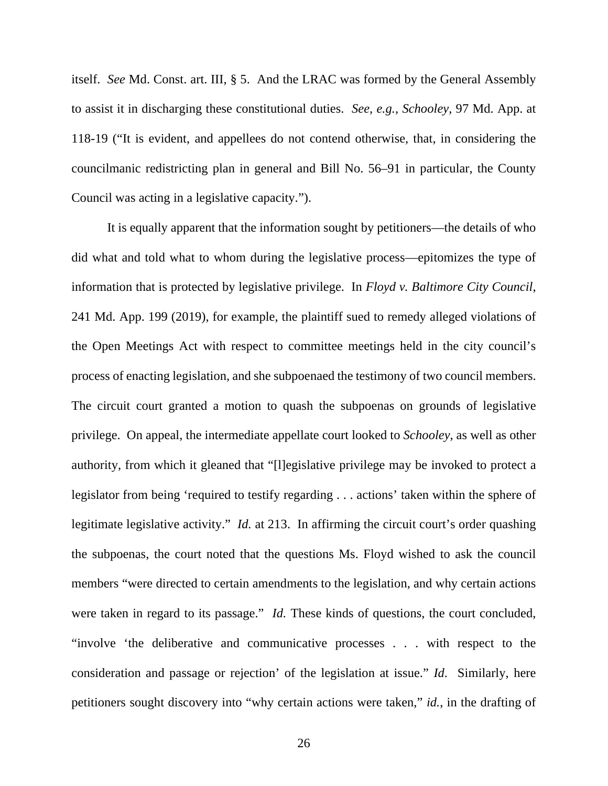itself. *See* Md. Const. art. III, § 5. And the LRAC was formed by the General Assembly to assist it in discharging these constitutional duties. *See, e.g.*, *Schooley*, 97 Md. App. at 118-19 ("It is evident, and appellees do not contend otherwise, that, in considering the councilmanic redistricting plan in general and Bill No. 56–91 in particular, the County Council was acting in a legislative capacity.").

It is equally apparent that the information sought by petitioners—the details of who did what and told what to whom during the legislative process—epitomizes the type of information that is protected by legislative privilege. In *Floyd v. Baltimore City Council*, 241 Md. App. 199 (2019), for example, the plaintiff sued to remedy alleged violations of the Open Meetings Act with respect to committee meetings held in the city council's process of enacting legislation, and she subpoenaed the testimony of two council members. The circuit court granted a motion to quash the subpoenas on grounds of legislative privilege. On appeal, the intermediate appellate court looked to *Schooley*, as well as other authority, from which it gleaned that "[l]egislative privilege may be invoked to protect a legislator from being 'required to testify regarding . . . actions' taken within the sphere of legitimate legislative activity." *Id.* at 213. In affirming the circuit court's order quashing the subpoenas, the court noted that the questions Ms. Floyd wished to ask the council members "were directed to certain amendments to the legislation, and why certain actions were taken in regard to its passage." *Id.* These kinds of questions, the court concluded, "involve 'the deliberative and communicative processes . . . with respect to the consideration and passage or rejection' of the legislation at issue." *Id*. Similarly, here petitioners sought discovery into "why certain actions were taken," *id.*, in the drafting of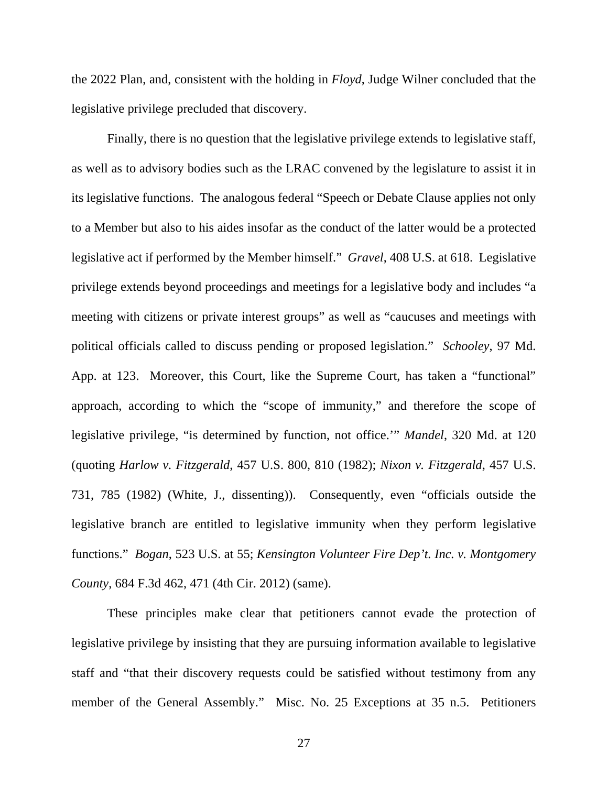the 2022 Plan, and, consistent with the holding in *Floyd*, Judge Wilner concluded that the legislative privilege precluded that discovery.

Finally, there is no question that the legislative privilege extends to legislative staff, as well as to advisory bodies such as the LRAC convened by the legislature to assist it in its legislative functions. The analogous federal "Speech or Debate Clause applies not only to a Member but also to his aides insofar as the conduct of the latter would be a protected legislative act if performed by the Member himself." *Gravel*, 408 U.S. at 618. Legislative privilege extends beyond proceedings and meetings for a legislative body and includes "a meeting with citizens or private interest groups" as well as "caucuses and meetings with political officials called to discuss pending or proposed legislation." *Schooley*, 97 Md. App. at 123. Moreover, this Court, like the Supreme Court, has taken a "functional" approach, according to which the "scope of immunity," and therefore the scope of legislative privilege, "is determined by function, not office.'" *Mandel*, 320 Md. at 120 (quoting *Harlow v. Fitzgerald*, 457 U.S. 800, 810 (1982); *Nixon v. Fitzgerald*, 457 U.S. 731, 785 (1982) (White, J., dissenting)). Consequently, even "officials outside the legislative branch are entitled to legislative immunity when they perform legislative functions." *Bogan*, 523 U.S. at 55; *Kensington Volunteer Fire Dep't. Inc. v. Montgomery County*, 684 F.3d 462, 471 (4th Cir. 2012) (same).

These principles make clear that petitioners cannot evade the protection of legislative privilege by insisting that they are pursuing information available to legislative staff and "that their discovery requests could be satisfied without testimony from any member of the General Assembly." Misc. No. 25 Exceptions at 35 n.5. Petitioners

27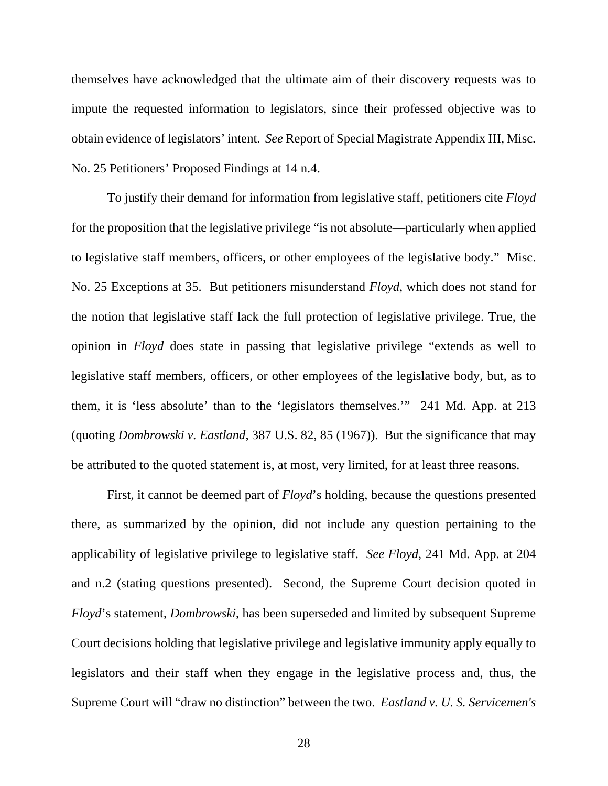themselves have acknowledged that the ultimate aim of their discovery requests was to impute the requested information to legislators, since their professed objective was to obtain evidence of legislators' intent. *See* Report of Special Magistrate Appendix III, Misc. No. 25 Petitioners' Proposed Findings at 14 n.4.

To justify their demand for information from legislative staff, petitioners cite *Floyd*  for the proposition that the legislative privilege "is not absolute—particularly when applied to legislative staff members, officers, or other employees of the legislative body." Misc. No. 25 Exceptions at 35. But petitioners misunderstand *Floyd*, which does not stand for the notion that legislative staff lack the full protection of legislative privilege. True, the opinion in *Floyd* does state in passing that legislative privilege "extends as well to legislative staff members, officers, or other employees of the legislative body, but, as to them, it is 'less absolute' than to the 'legislators themselves.'" 241 Md. App. at 213 (quoting *Dombrowski v. Eastland*, 387 U.S. 82, 85 (1967)). But the significance that may be attributed to the quoted statement is, at most, very limited, for at least three reasons.

First, it cannot be deemed part of *Floyd*'s holding, because the questions presented there, as summarized by the opinion, did not include any question pertaining to the applicability of legislative privilege to legislative staff. *See Floyd*, 241 Md. App. at 204 and n.2 (stating questions presented). Second, the Supreme Court decision quoted in *Floyd*'s statement, *Dombrowski*, has been superseded and limited by subsequent Supreme Court decisions holding that legislative privilege and legislative immunity apply equally to legislators and their staff when they engage in the legislative process and, thus, the Supreme Court will "draw no distinction" between the two. *Eastland v. U. S. Servicemen's*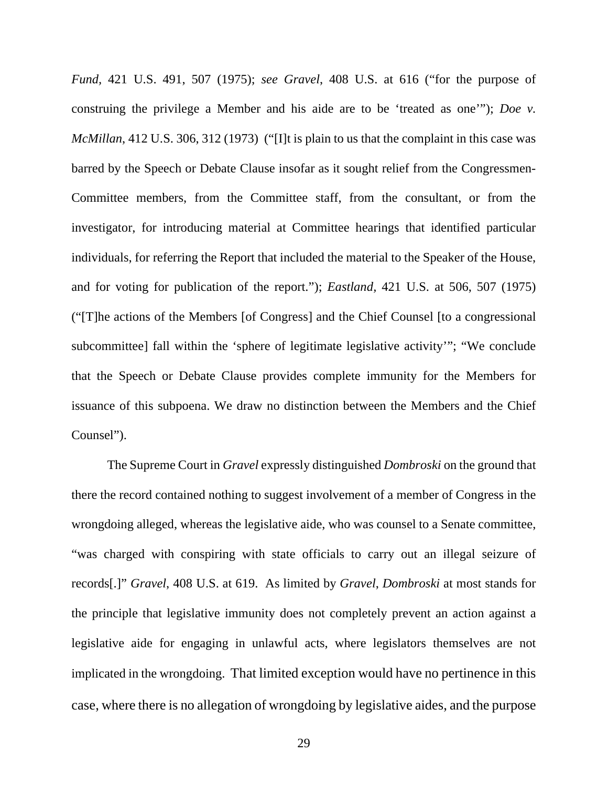*Fund,* 421 U.S. 491, 507 (1975); *see Gravel*, 408 U.S. at 616 ("for the purpose of construing the privilege a Member and his aide are to be 'treated as one'"); *Doe v. McMillan*, 412 U.S. 306, 312 (1973) ("[I]t is plain to us that the complaint in this case was barred by the Speech or Debate Clause insofar as it sought relief from the Congressmen-Committee members, from the Committee staff, from the consultant, or from the investigator, for introducing material at Committee hearings that identified particular individuals, for referring the Report that included the material to the Speaker of the House, and for voting for publication of the report."); *Eastland,* 421 U.S. at 506, 507 (1975) ("[T]he actions of the Members [of Congress] and the Chief Counsel [to a congressional subcommittee] fall within the 'sphere of legitimate legislative activity'"; "We conclude that the Speech or Debate Clause provides complete immunity for the Members for issuance of this subpoena. We draw no distinction between the Members and the Chief Counsel").

The Supreme Court in *Gravel* expressly distinguished *Dombroski* on the ground that there the record contained nothing to suggest involvement of a member of Congress in the wrongdoing alleged, whereas the legislative aide, who was counsel to a Senate committee, "was charged with conspiring with state officials to carry out an illegal seizure of records[.]" *Gravel*, 408 U.S. at 619. As limited by *Gravel*, *Dombroski* at most stands for the principle that legislative immunity does not completely prevent an action against a legislative aide for engaging in unlawful acts, where legislators themselves are not implicated in the wrongdoing. That limited exception would have no pertinence in this case, where there is no allegation of wrongdoing by legislative aides, and the purpose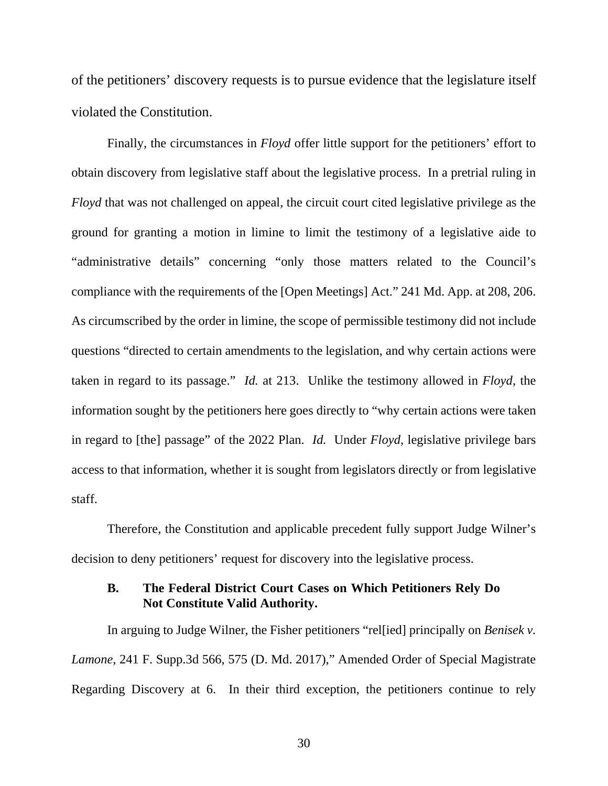of the petitioners' discovery requests is to pursue evidence that the legislature itself violated the Constitution.

Finally, the circumstances in *Floyd* offer little support for the petitioners' effort to obtain discovery from legislative staff about the legislative process. In a pretrial ruling in *Floyd* that was not challenged on appeal, the circuit court cited legislative privilege as the ground for granting a motion in limine to limit the testimony of a legislative aide to "administrative details" concerning "only those matters related to the Council's compliance with the requirements of the [Open Meetings] Act." 241 Md. App. at 208, 206. As circumscribed by the order in limine, the scope of permissible testimony did not include questions "directed to certain amendments to the legislation, and why certain actions were taken in regard to its passage." *Id.* at 213. Unlike the testimony allowed in *Floyd*, the information sought by the petitioners here goes directly to "why certain actions were taken in regard to [the] passage" of the 2022 Plan. *Id.* Under *Floyd*, legislative privilege bars access to that information, whether it is sought from legislators directly or from legislative staff.

Therefore, the Constitution and applicable precedent fully support Judge Wilner's decision to deny petitioners' request for discovery into the legislative process.

### <span id="page-29-0"></span>**B. The Federal District Court Cases on Which Petitioners Rely Do Not Constitute Valid Authority.**

In arguing to Judge Wilner, the Fisher petitioners "rel[ied] principally on *Benisek v. Lamone*, 241 F. Supp.3d 566, 575 (D. Md. 2017)," Amended Order of Special Magistrate Regarding Discovery at 6. In their third exception, the petitioners continue to rely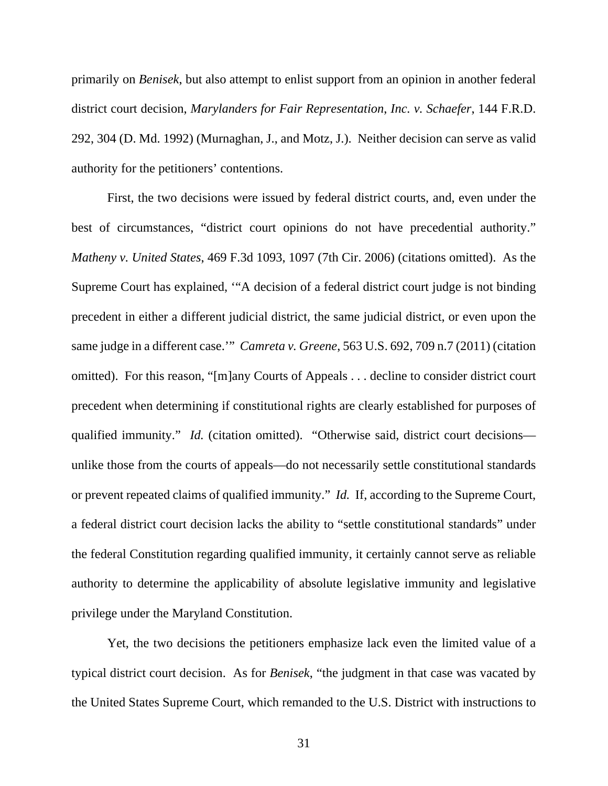primarily on *Benisek*, but also attempt to enlist support from an opinion in another federal district court decision, *Marylanders for Fair Representation*, *Inc. v. Schaefer*, 144 F.R.D. 292, 304 (D. Md. 1992) (Murnaghan, J., and Motz, J.). Neither decision can serve as valid authority for the petitioners' contentions.

First, the two decisions were issued by federal district courts, and, even under the best of circumstances, "district court opinions do not have precedential authority." *Matheny v. United States*, 469 F.3d 1093, 1097 (7th Cir. 2006) (citations omitted). As the Supreme Court has explained, '"A decision of a federal district court judge is not binding precedent in either a different judicial district, the same judicial district, or even upon the same judge in a different case.'" *Camreta v. Greene*, 563 U.S. 692, 709 n.7 (2011) (citation omitted). For this reason, "[m]any Courts of Appeals . . . decline to consider district court precedent when determining if constitutional rights are clearly established for purposes of qualified immunity." *Id.* (citation omitted). "Otherwise said, district court decisions unlike those from the courts of appeals—do not necessarily settle constitutional standards or prevent repeated claims of qualified immunity." *Id.* If, according to the Supreme Court, a federal district court decision lacks the ability to "settle constitutional standards" under the federal Constitution regarding qualified immunity, it certainly cannot serve as reliable authority to determine the applicability of absolute legislative immunity and legislative privilege under the Maryland Constitution.

Yet, the two decisions the petitioners emphasize lack even the limited value of a typical district court decision. As for *Benisek*, "the judgment in that case was vacated by the United States Supreme Court, which remanded to the U.S. District with instructions to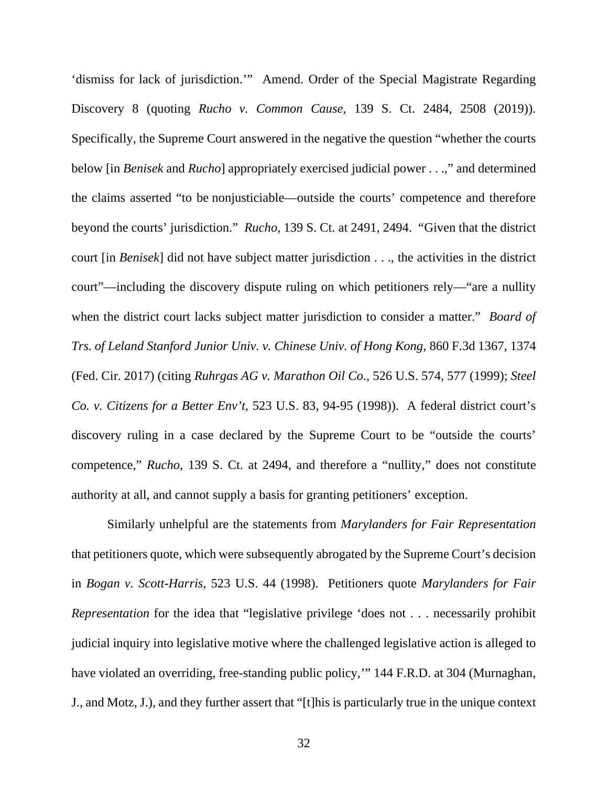'dismiss for lack of jurisdiction.'" Amend. Order of the Special Magistrate Regarding Discovery 8 (quoting *Rucho v. Common Cause*, 139 S. Ct. 2484, 2508 (2019)). Specifically, the Supreme Court answered in the negative the question "whether the courts below [in *Benisek* and *Rucho*] appropriately exercised judicial power . . .," and determined the claims asserted "to be nonjusticiable—outside the courts' competence and therefore beyond the courts' jurisdiction." *Rucho*, 139 S. Ct. at 2491, 2494. "Given that the district court [in *Benisek*] did not have subject matter jurisdiction . . ., the activities in the district court"—including the discovery dispute ruling on which petitioners rely—"are a nullity when the district court lacks subject matter jurisdiction to consider a matter." *Board of Trs. of Leland Stanford Junior Univ. v. Chinese Univ. of Hong Kong*, 860 F.3d 1367, 1374 (Fed. Cir. 2017) (citing *Ruhrgas AG v. Marathon Oil Co*., 526 U.S. 574, 577 (1999); *Steel Co. v. Citizens for a Better Env't*, 523 U.S. 83, 94-95 (1998)). A federal district court's discovery ruling in a case declared by the Supreme Court to be "outside the courts' competence," *Rucho*, 139 S. Ct. at 2494, and therefore a "nullity," does not constitute authority at all, and cannot supply a basis for granting petitioners' exception.

Similarly unhelpful are the statements from *Marylanders for Fair Representation* that petitioners quote, which were subsequently abrogated by the Supreme Court's decision in *Bogan v. Scott-Harris*, 523 U.S. 44 (1998). Petitioners quote *Marylanders for Fair Representation* for the idea that "legislative privilege 'does not . . . necessarily prohibit judicial inquiry into legislative motive where the challenged legislative action is alleged to have violated an overriding, free-standing public policy," 144 F.R.D. at 304 (Murnaghan, J., and Motz, J.), and they further assert that "[t]his is particularly true in the unique context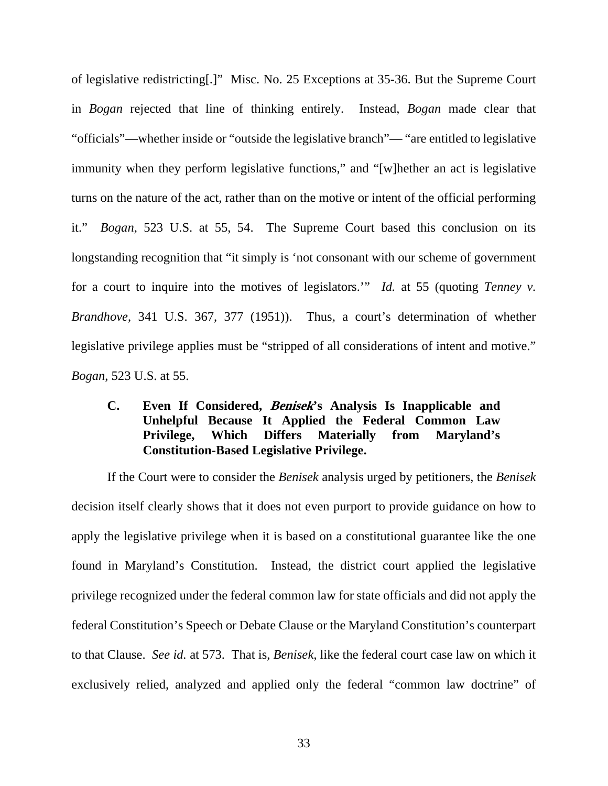of legislative redistricting[.]" Misc. No. 25 Exceptions at 35-36. But the Supreme Court in *Bogan* rejected that line of thinking entirely. Instead, *Bogan* made clear that "officials"—whether inside or "outside the legislative branch"— "are entitled to legislative immunity when they perform legislative functions," and "[w]hether an act is legislative turns on the nature of the act, rather than on the motive or intent of the official performing it." *Bogan*, 523 U.S. at 55, 54. The Supreme Court based this conclusion on its longstanding recognition that "it simply is 'not consonant with our scheme of government for a court to inquire into the motives of legislators.'" *Id.* at 55 (quoting *Tenney v. Brandhove*, 341 U.S. 367, 377 (1951)). Thus, a court's determination of whether legislative privilege applies must be "stripped of all considerations of intent and motive." *Bogan*, 523 U.S. at 55.

# <span id="page-32-0"></span>**C. Even If Considered, Benisek's Analysis Is Inapplicable and Unhelpful Because It Applied the Federal Common Law Privilege, Which Differs Materially from Maryland's Constitution-Based Legislative Privilege.**

If the Court were to consider the *Benisek* analysis urged by petitioners, the *Benisek* decision itself clearly shows that it does not even purport to provide guidance on how to apply the legislative privilege when it is based on a constitutional guarantee like the one found in Maryland's Constitution. Instead, the district court applied the legislative privilege recognized under the federal common law for state officials and did not apply the federal Constitution's Speech or Debate Clause or the Maryland Constitution's counterpart to that Clause. *See id.* at 573. That is, *Benisek,* like the federal court case law on which it exclusively relied, analyzed and applied only the federal "common law doctrine" of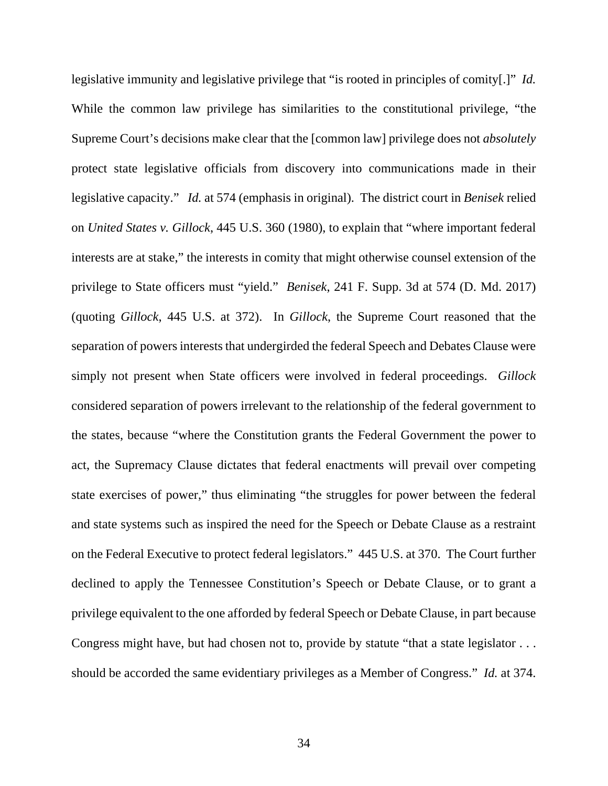legislative immunity and legislative privilege that "is rooted in principles of comity[.]" *Id.*  While the common law privilege has similarities to the constitutional privilege, "the Supreme Court's decisions make clear that the [common law] privilege does not *absolutely* protect state legislative officials from discovery into communications made in their legislative capacity." *Id.* at 574 (emphasis in original). The district court in *Benisek* relied on *United States v. Gillock*, 445 U.S. 360 (1980), to explain that "where important federal interests are at stake," the interests in comity that might otherwise counsel extension of the privilege to State officers must "yield." *Benisek*, 241 F. Supp. 3d at 574 (D. Md. 2017) (quoting *Gillock*, 445 U.S. at 372). In *Gillock*, the Supreme Court reasoned that the separation of powers interests that undergirded the federal Speech and Debates Clause were simply not present when State officers were involved in federal proceedings. *Gillock* considered separation of powers irrelevant to the relationship of the federal government to the states, because "where the Constitution grants the Federal Government the power to act, the Supremacy Clause dictates that federal enactments will prevail over competing state exercises of power," thus eliminating "the struggles for power between the federal and state systems such as inspired the need for the Speech or Debate Clause as a restraint on the Federal Executive to protect federal legislators." 445 U.S. at 370. The Court further declined to apply the Tennessee Constitution's Speech or Debate Clause, or to grant a privilege equivalent to the one afforded by federal Speech or Debate Clause, in part because Congress might have, but had chosen not to, provide by statute "that a state legislator . . . should be accorded the same evidentiary privileges as a Member of Congress." *Id.* at 374.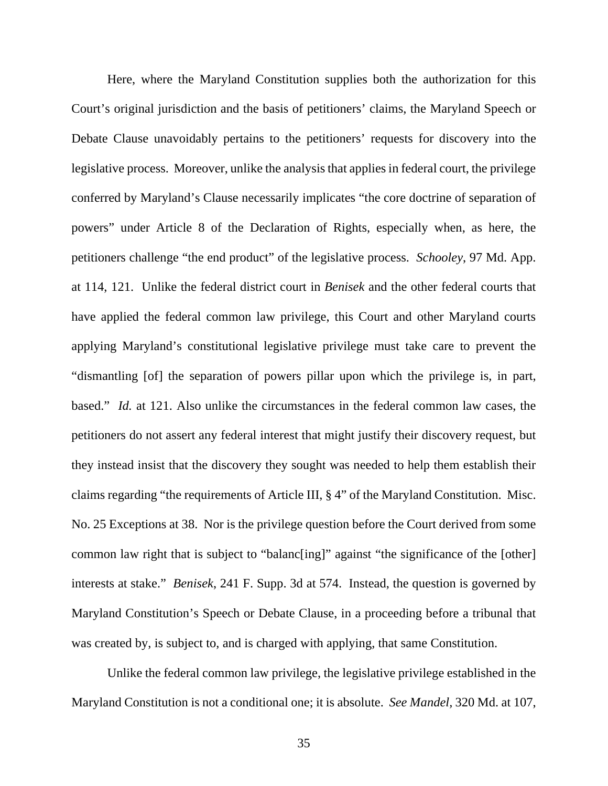Here, where the Maryland Constitution supplies both the authorization for this Court's original jurisdiction and the basis of petitioners' claims, the Maryland Speech or Debate Clause unavoidably pertains to the petitioners' requests for discovery into the legislative process. Moreover, unlike the analysis that applies in federal court, the privilege conferred by Maryland's Clause necessarily implicates "the core doctrine of separation of powers" under Article 8 of the Declaration of Rights, especially when, as here, the petitioners challenge "the end product" of the legislative process. *Schooley*, 97 Md. App. at 114, 121. Unlike the federal district court in *Benisek* and the other federal courts that have applied the federal common law privilege, this Court and other Maryland courts applying Maryland's constitutional legislative privilege must take care to prevent the "dismantling [of] the separation of powers pillar upon which the privilege is, in part, based." *Id.* at 121. Also unlike the circumstances in the federal common law cases, the petitioners do not assert any federal interest that might justify their discovery request, but they instead insist that the discovery they sought was needed to help them establish their claims regarding "the requirements of Article III, § 4" of the Maryland Constitution. Misc. No. 25 Exceptions at 38. Nor is the privilege question before the Court derived from some common law right that is subject to "balanc[ing]" against "the significance of the [other] interests at stake." *Benisek*, 241 F. Supp. 3d at 574. Instead, the question is governed by Maryland Constitution's Speech or Debate Clause, in a proceeding before a tribunal that was created by, is subject to, and is charged with applying, that same Constitution.

Unlike the federal common law privilege, the legislative privilege established in the Maryland Constitution is not a conditional one; it is absolute. *See Mandel,* 320 Md. at 107,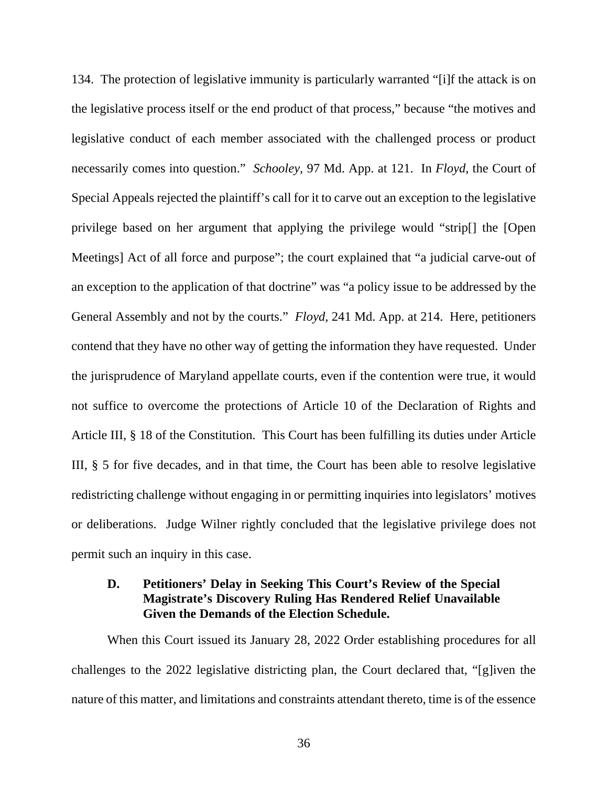134. The protection of legislative immunity is particularly warranted "[i]f the attack is on the legislative process itself or the end product of that process," because "the motives and legislative conduct of each member associated with the challenged process or product necessarily comes into question." *Schooley,* 97 Md. App. at 121. In *Floyd*, the Court of Special Appeals rejected the plaintiff's call for it to carve out an exception to the legislative privilege based on her argument that applying the privilege would "strip[] the [Open Meetings] Act of all force and purpose"; the court explained that "a judicial carve-out of an exception to the application of that doctrine" was "a policy issue to be addressed by the General Assembly and not by the courts." *Floyd*, 241 Md. App. at 214. Here, petitioners contend that they have no other way of getting the information they have requested. Under the jurisprudence of Maryland appellate courts, even if the contention were true, it would not suffice to overcome the protections of Article 10 of the Declaration of Rights and Article III, § 18 of the Constitution. This Court has been fulfilling its duties under Article III, § 5 for five decades, and in that time, the Court has been able to resolve legislative redistricting challenge without engaging in or permitting inquiries into legislators' motives or deliberations. Judge Wilner rightly concluded that the legislative privilege does not permit such an inquiry in this case.

# <span id="page-35-0"></span>**D. Petitioners' Delay in Seeking This Court's Review of the Special Magistrate's Discovery Ruling Has Rendered Relief Unavailable Given the Demands of the Election Schedule.**

When this Court issued its January 28, 2022 Order establishing procedures for all challenges to the 2022 legislative districting plan, the Court declared that, "[g]iven the nature of this matter, and limitations and constraints attendant thereto, time is of the essence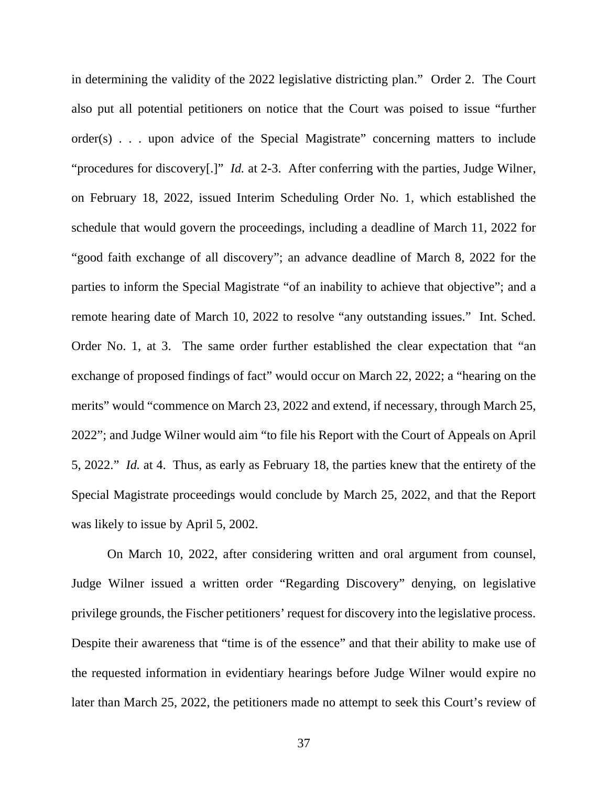in determining the validity of the 2022 legislative districting plan." Order 2. The Court also put all potential petitioners on notice that the Court was poised to issue "further order(s) . . . upon advice of the Special Magistrate" concerning matters to include "procedures for discovery[.]" *Id.* at 2-3. After conferring with the parties, Judge Wilner, on February 18, 2022, issued Interim Scheduling Order No. 1, which established the schedule that would govern the proceedings, including a deadline of March 11, 2022 for "good faith exchange of all discovery"; an advance deadline of March 8, 2022 for the parties to inform the Special Magistrate "of an inability to achieve that objective"; and a remote hearing date of March 10, 2022 to resolve "any outstanding issues." Int. Sched. Order No. 1, at 3. The same order further established the clear expectation that "an exchange of proposed findings of fact" would occur on March 22, 2022; a "hearing on the merits" would "commence on March 23, 2022 and extend, if necessary, through March 25, 2022"; and Judge Wilner would aim "to file his Report with the Court of Appeals on April 5, 2022." *Id.* at 4. Thus, as early as February 18, the parties knew that the entirety of the Special Magistrate proceedings would conclude by March 25, 2022, and that the Report was likely to issue by April 5, 2002.

On March 10, 2022, after considering written and oral argument from counsel, Judge Wilner issued a written order "Regarding Discovery" denying, on legislative privilege grounds, the Fischer petitioners' request for discovery into the legislative process. Despite their awareness that "time is of the essence" and that their ability to make use of the requested information in evidentiary hearings before Judge Wilner would expire no later than March 25, 2022, the petitioners made no attempt to seek this Court's review of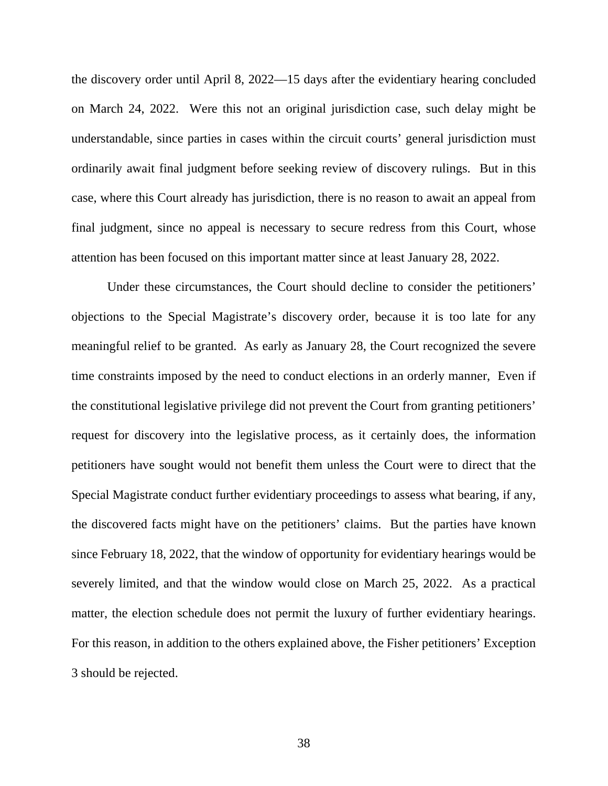the discovery order until April 8, 2022—15 days after the evidentiary hearing concluded on March 24, 2022. Were this not an original jurisdiction case, such delay might be understandable, since parties in cases within the circuit courts' general jurisdiction must ordinarily await final judgment before seeking review of discovery rulings. But in this case, where this Court already has jurisdiction, there is no reason to await an appeal from final judgment, since no appeal is necessary to secure redress from this Court, whose attention has been focused on this important matter since at least January 28, 2022.

Under these circumstances, the Court should decline to consider the petitioners' objections to the Special Magistrate's discovery order, because it is too late for any meaningful relief to be granted. As early as January 28, the Court recognized the severe time constraints imposed by the need to conduct elections in an orderly manner, Even if the constitutional legislative privilege did not prevent the Court from granting petitioners' request for discovery into the legislative process, as it certainly does, the information petitioners have sought would not benefit them unless the Court were to direct that the Special Magistrate conduct further evidentiary proceedings to assess what bearing, if any, the discovered facts might have on the petitioners' claims. But the parties have known since February 18, 2022, that the window of opportunity for evidentiary hearings would be severely limited, and that the window would close on March 25, 2022. As a practical matter, the election schedule does not permit the luxury of further evidentiary hearings. For this reason, in addition to the others explained above, the Fisher petitioners' Exception 3 should be rejected.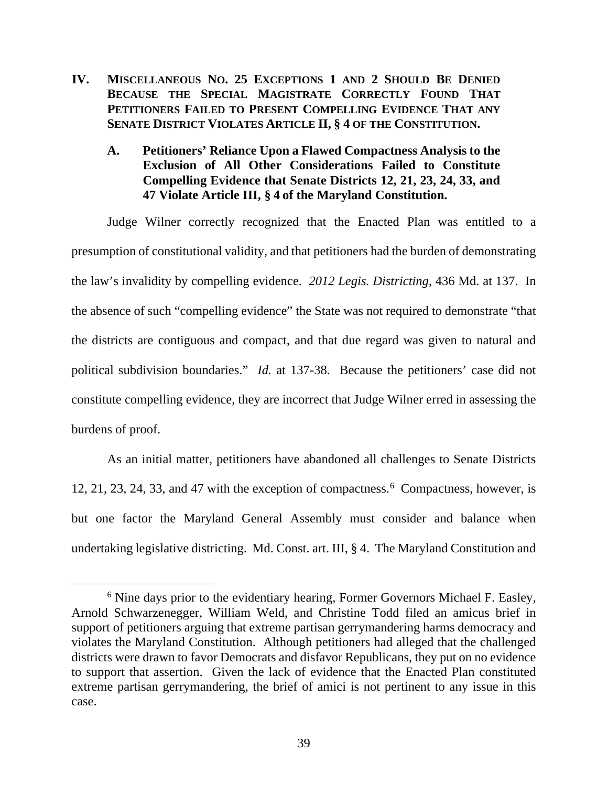<span id="page-38-0"></span>**IV. MISCELLANEOUS NO. 25 EXCEPTIONS 1 AND 2 SHOULD BE DENIED BECAUSE THE SPECIAL MAGISTRATE CORRECTLY FOUND THAT PETITIONERS FAILED TO PRESENT COMPELLING EVIDENCE THAT ANY SENATE DISTRICT VIOLATES ARTICLE II, § 4 OF THE CONSTITUTION.**

# <span id="page-38-1"></span>**A. Petitioners' Reliance Upon a Flawed Compactness Analysis to the Exclusion of All Other Considerations Failed to Constitute Compelling Evidence that Senate Districts 12, 21, 23, 24, 33, and 47 Violate Article III, § 4 of the Maryland Constitution.**

Judge Wilner correctly recognized that the Enacted Plan was entitled to a presumption of constitutional validity, and that petitioners had the burden of demonstrating the law's invalidity by compelling evidence. *2012 Legis. Districting*, 436 Md. at 137. In the absence of such "compelling evidence" the State was not required to demonstrate "that the districts are contiguous and compact, and that due regard was given to natural and political subdivision boundaries." *Id.* at 137-38. Because the petitioners' case did not constitute compelling evidence, they are incorrect that Judge Wilner erred in assessing the burdens of proof.

As an initial matter, petitioners have abandoned all challenges to Senate Districts 12, 21, 23, 24, 33, and 47 with the exception of compactness.<sup>[6](#page-38-2)</sup> Compactness, however, is but one factor the Maryland General Assembly must consider and balance when undertaking legislative districting. Md. Const. art. III, § 4. The Maryland Constitution and

<span id="page-38-2"></span><sup>&</sup>lt;sup>6</sup> Nine days prior to the evidentiary hearing, Former Governors Michael F. Easley, Arnold Schwarzenegger, William Weld, and Christine Todd filed an amicus brief in support of petitioners arguing that extreme partisan gerrymandering harms democracy and violates the Maryland Constitution. Although petitioners had alleged that the challenged districts were drawn to favor Democrats and disfavor Republicans, they put on no evidence to support that assertion. Given the lack of evidence that the Enacted Plan constituted extreme partisan gerrymandering, the brief of amici is not pertinent to any issue in this case.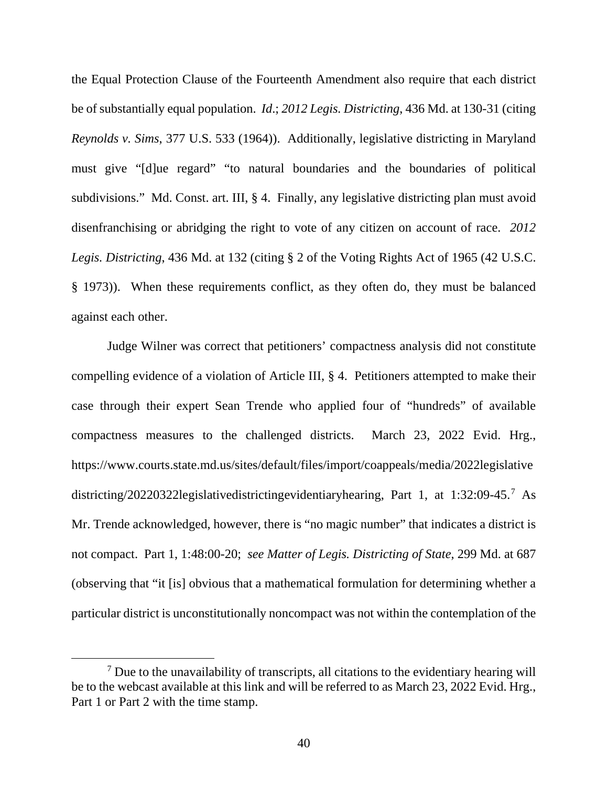the Equal Protection Clause of the Fourteenth Amendment also require that each district be of substantially equal population. *Id*.; *2012 Legis. Districting*, 436 Md. at 130-31 (citing *Reynolds v. Sims*, 377 U.S. 533 (1964)). Additionally, legislative districting in Maryland must give "[d]ue regard" "to natural boundaries and the boundaries of political subdivisions." Md. Const. art. III, § 4. Finally, any legislative districting plan must avoid disenfranchising or abridging the right to vote of any citizen on account of race. *2012 Legis. Districting*, 436 Md. at 132 (citing § 2 of the Voting Rights Act of 1965 (42 U.S.C. § 1973)). When these requirements conflict, as they often do, they must be balanced against each other.

Judge Wilner was correct that petitioners' compactness analysis did not constitute compelling evidence of a violation of Article III, § 4. Petitioners attempted to make their case through their expert Sean Trende who applied four of "hundreds" of available compactness measures to the challenged districts. March 23, 2022 Evid. Hrg., https://www.courts.state.md.us/sites/default/files/import/coappeals/media/2022legislative districting/20220322legislativedistrictingevidentiaryhearing, Part 1, at 1:32:09-45.[7](#page-39-0) As Mr. Trende acknowledged, however, there is "no magic number" that indicates a district is not compact. Part 1, 1:48:00-20; *see Matter of Legis. Districting of State*, 299 Md. at 687 (observing that "it [is] obvious that a mathematical formulation for determining whether a particular district is unconstitutionally noncompact was not within the contemplation of the

<span id="page-39-0"></span> $<sup>7</sup>$  Due to the unavailability of transcripts, all citations to the evidentiary hearing will</sup> be to the webcast available at this link and will be referred to as March 23, 2022 Evid. Hrg., Part 1 or Part 2 with the time stamp.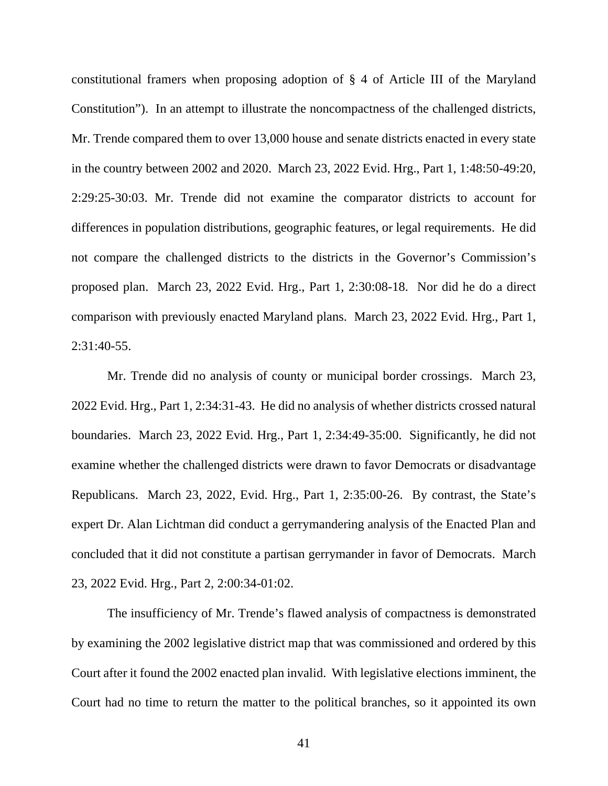constitutional framers when proposing adoption of § 4 of Article III of the Maryland Constitution"). In an attempt to illustrate the noncompactness of the challenged districts, Mr. Trende compared them to over 13,000 house and senate districts enacted in every state in the country between 2002 and 2020. March 23, 2022 Evid. Hrg., Part 1, 1:48:50-49:20, 2:29:25-30:03. Mr. Trende did not examine the comparator districts to account for differences in population distributions, geographic features, or legal requirements. He did not compare the challenged districts to the districts in the Governor's Commission's proposed plan. March 23, 2022 Evid. Hrg., Part 1, 2:30:08-18. Nor did he do a direct comparison with previously enacted Maryland plans. March 23, 2022 Evid. Hrg., Part 1, 2:31:40-55.

Mr. Trende did no analysis of county or municipal border crossings. March 23, 2022 Evid. Hrg., Part 1, 2:34:31-43. He did no analysis of whether districts crossed natural boundaries. March 23, 2022 Evid. Hrg., Part 1, 2:34:49-35:00. Significantly, he did not examine whether the challenged districts were drawn to favor Democrats or disadvantage Republicans. March 23, 2022, Evid. Hrg., Part 1, 2:35:00-26. By contrast, the State's expert Dr. Alan Lichtman did conduct a gerrymandering analysis of the Enacted Plan and concluded that it did not constitute a partisan gerrymander in favor of Democrats. March 23, 2022 Evid. Hrg., Part 2, 2:00:34-01:02.

The insufficiency of Mr. Trende's flawed analysis of compactness is demonstrated by examining the 2002 legislative district map that was commissioned and ordered by this Court after it found the 2002 enacted plan invalid. With legislative elections imminent, the Court had no time to return the matter to the political branches, so it appointed its own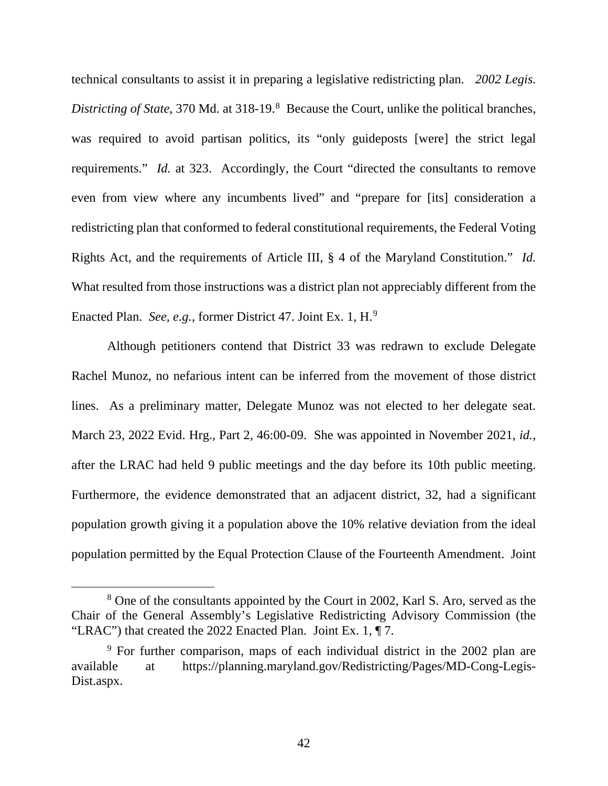technical consultants to assist it in preparing a legislative redistricting plan. *2002 Legis.* Districting of State, 370 Md. at 31[8](#page-41-0)-19.<sup>8</sup> Because the Court, unlike the political branches, was required to avoid partisan politics, its "only guideposts [were] the strict legal requirements." *Id.* at 323. Accordingly, the Court "directed the consultants to remove even from view where any incumbents lived" and "prepare for [its] consideration a redistricting plan that conformed to federal constitutional requirements, the Federal Voting Rights Act, and the requirements of Article III, § 4 of the Maryland Constitution." *Id.* What resulted from those instructions was a district plan not appreciably different from the Enacted Plan. *See, e.g.*, former District 47. Joint Ex. 1, H.[9](#page-41-1)

Although petitioners contend that District 33 was redrawn to exclude Delegate Rachel Munoz, no nefarious intent can be inferred from the movement of those district lines. As a preliminary matter, Delegate Munoz was not elected to her delegate seat. March 23, 2022 Evid. Hrg., Part 2, 46:00-09. She was appointed in November 2021, *id.*, after the LRAC had held 9 public meetings and the day before its 10th public meeting. Furthermore, the evidence demonstrated that an adjacent district, 32, had a significant population growth giving it a population above the 10% relative deviation from the ideal population permitted by the Equal Protection Clause of the Fourteenth Amendment. Joint

<span id="page-41-0"></span><sup>8</sup> One of the consultants appointed by the Court in 2002, Karl S. Aro, served as the Chair of the General Assembly's Legislative Redistricting Advisory Commission (the "LRAC") that created the 2022 Enacted Plan. Joint Ex. 1, ¶ 7.

<span id="page-41-1"></span><sup>&</sup>lt;sup>9</sup> For further comparison, maps of each individual district in the 2002 plan are available at https://planning.maryland.gov/Redistricting/Pages/MD-Cong-Legis-Dist.aspx.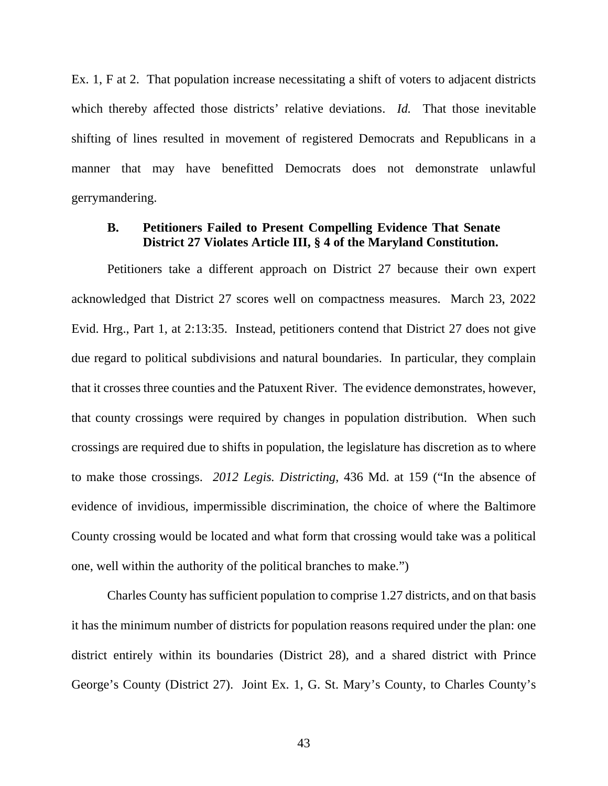Ex. 1, F at 2. That population increase necessitating a shift of voters to adjacent districts which thereby affected those districts' relative deviations. *Id.* That those inevitable shifting of lines resulted in movement of registered Democrats and Republicans in a manner that may have benefitted Democrats does not demonstrate unlawful gerrymandering.

### <span id="page-42-0"></span>**B. Petitioners Failed to Present Compelling Evidence That Senate District 27 Violates Article III, § 4 of the Maryland Constitution.**

Petitioners take a different approach on District 27 because their own expert acknowledged that District 27 scores well on compactness measures. March 23, 2022 Evid. Hrg., Part 1, at 2:13:35. Instead, petitioners contend that District 27 does not give due regard to political subdivisions and natural boundaries. In particular, they complain that it crosses three counties and the Patuxent River. The evidence demonstrates, however, that county crossings were required by changes in population distribution. When such crossings are required due to shifts in population, the legislature has discretion as to where to make those crossings. *2012 Legis. Districting*, 436 Md. at 159 ("In the absence of evidence of invidious, impermissible discrimination, the choice of where the Baltimore County crossing would be located and what form that crossing would take was a political one, well within the authority of the political branches to make.")

Charles County has sufficient population to comprise 1.27 districts, and on that basis it has the minimum number of districts for population reasons required under the plan: one district entirely within its boundaries (District 28), and a shared district with Prince George's County (District 27). Joint Ex. 1, G. St. Mary's County, to Charles County's

43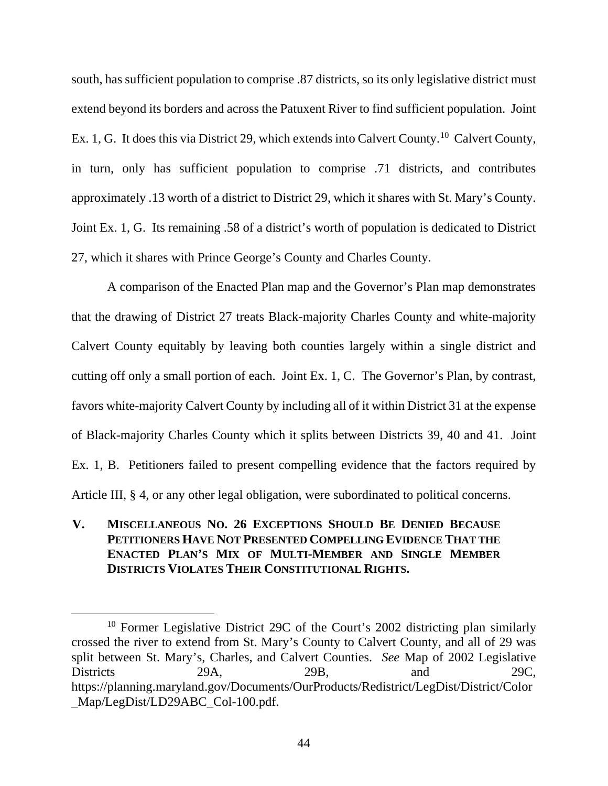south, has sufficient population to comprise .87 districts, so its only legislative district must extend beyond its borders and across the Patuxent River to find sufficient population. Joint Ex. 1, G. It does this via District 29, which extends into Calvert County.<sup>[10](#page-43-1)</sup> Calvert County, in turn, only has sufficient population to comprise .71 districts, and contributes approximately .13 worth of a district to District 29, which it shares with St. Mary's County. Joint Ex. 1, G. Its remaining .58 of a district's worth of population is dedicated to District 27, which it shares with Prince George's County and Charles County.

A comparison of the Enacted Plan map and the Governor's Plan map demonstrates that the drawing of District 27 treats Black-majority Charles County and white-majority Calvert County equitably by leaving both counties largely within a single district and cutting off only a small portion of each. Joint Ex. 1, C. The Governor's Plan, by contrast, favors white-majority Calvert County by including all of it within District 31 at the expense of Black-majority Charles County which it splits between Districts 39, 40 and 41. Joint Ex. 1, B. Petitioners failed to present compelling evidence that the factors required by Article III, § 4, or any other legal obligation, were subordinated to political concerns.

<span id="page-43-0"></span>**V. MISCELLANEOUS NO. 26 EXCEPTIONS SHOULD BE DENIED BECAUSE PETITIONERS HAVE NOT PRESENTED COMPELLING EVIDENCE THAT THE ENACTED PLAN'S MIX OF MULTI-MEMBER AND SINGLE MEMBER DISTRICTS VIOLATES THEIR CONSTITUTIONAL RIGHTS.**

<span id="page-43-1"></span><sup>10</sup> Former Legislative District 29C of the Court's 2002 districting plan similarly crossed the river to extend from St. Mary's County to Calvert County, and all of 29 was split between St. Mary's, Charles, and Calvert Counties. *See* Map of 2002 Legislative Districts 29A, 29B, and 29C, https://planning.maryland.gov/Documents/OurProducts/Redistrict/LegDist/District/Color \_Map/LegDist/LD29ABC\_Col-100.pdf.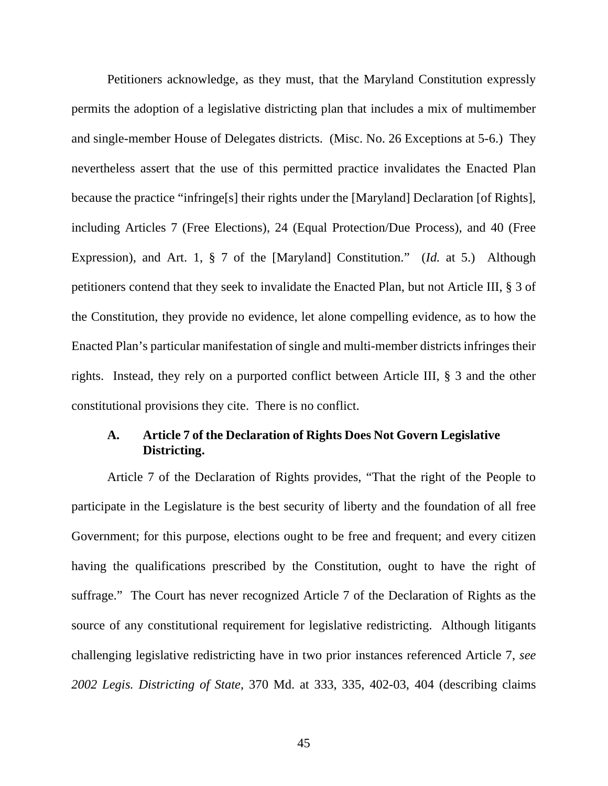Petitioners acknowledge, as they must, that the Maryland Constitution expressly permits the adoption of a legislative districting plan that includes a mix of multimember and single-member House of Delegates districts. (Misc. No. 26 Exceptions at 5-6.) They nevertheless assert that the use of this permitted practice invalidates the Enacted Plan because the practice "infringe[s] their rights under the [Maryland] Declaration [of Rights], including Articles 7 (Free Elections), 24 (Equal Protection/Due Process), and 40 (Free Expression), and Art. 1, § 7 of the [Maryland] Constitution." (*Id.* at 5.) Although petitioners contend that they seek to invalidate the Enacted Plan, but not Article III, § 3 of the Constitution, they provide no evidence, let alone compelling evidence, as to how the Enacted Plan's particular manifestation of single and multi-member districts infringes their rights. Instead, they rely on a purported conflict between Article III, § 3 and the other constitutional provisions they cite. There is no conflict.

### <span id="page-44-0"></span>**A. Article 7 of the Declaration of Rights Does Not Govern Legislative Districting.**

Article 7 of the Declaration of Rights provides, "That the right of the People to participate in the Legislature is the best security of liberty and the foundation of all free Government; for this purpose, elections ought to be free and frequent; and every citizen having the qualifications prescribed by the Constitution, ought to have the right of suffrage." The Court has never recognized Article 7 of the Declaration of Rights as the source of any constitutional requirement for legislative redistricting. Although litigants challenging legislative redistricting have in two prior instances referenced Article 7, *see 2002 Legis. Districting of State*, 370 Md. at 333, 335, 402-03, 404 (describing claims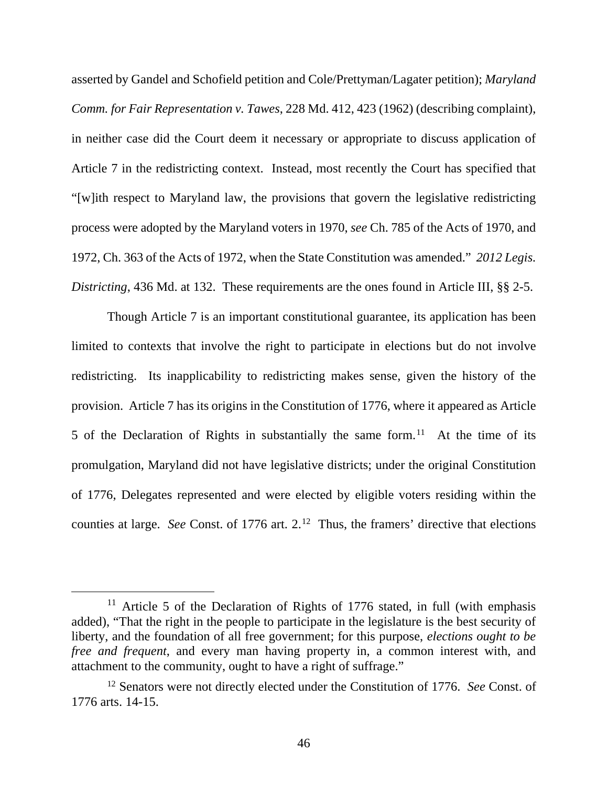asserted by Gandel and Schofield petition and Cole/Prettyman/Lagater petition); *Maryland Comm. for Fair Representation v. Tawes*, 228 Md. 412, 423 (1962) (describing complaint), in neither case did the Court deem it necessary or appropriate to discuss application of Article 7 in the redistricting context. Instead, most recently the Court has specified that "[w]ith respect to Maryland law, the provisions that govern the legislative redistricting process were adopted by the Maryland voters in 1970, *see* Ch. 785 of the Acts of 1970, and 1972, Ch. 363 of the Acts of 1972, when the State Constitution was amended." *2012 Legis. Districting*, 436 Md. at 132. These requirements are the ones found in Article III, §§ 2-5.

Though Article 7 is an important constitutional guarantee, its application has been limited to contexts that involve the right to participate in elections but do not involve redistricting. Its inapplicability to redistricting makes sense, given the history of the provision. Article 7 has its origins in the Constitution of 1776, where it appeared as Article 5 of the Declaration of Rights in substantially the same form.<sup>[11](#page-45-0)</sup> At the time of its promulgation, Maryland did not have legislative districts; under the original Constitution of 1776, Delegates represented and were elected by eligible voters residing within the counties at large. *See* Const. of 1776 art. 2.<sup>12</sup> Thus, the framers' directive that elections

<span id="page-45-0"></span><sup>&</sup>lt;sup>11</sup> Article 5 of the Declaration of Rights of 1776 stated, in full (with emphasis added), "That the right in the people to participate in the legislature is the best security of liberty, and the foundation of all free government; for this purpose, *elections ought to be free and frequent*, and every man having property in, a common interest with, and attachment to the community, ought to have a right of suffrage."

<span id="page-45-1"></span><sup>12</sup> Senators were not directly elected under the Constitution of 1776. *See* Const. of 1776 arts. 14-15.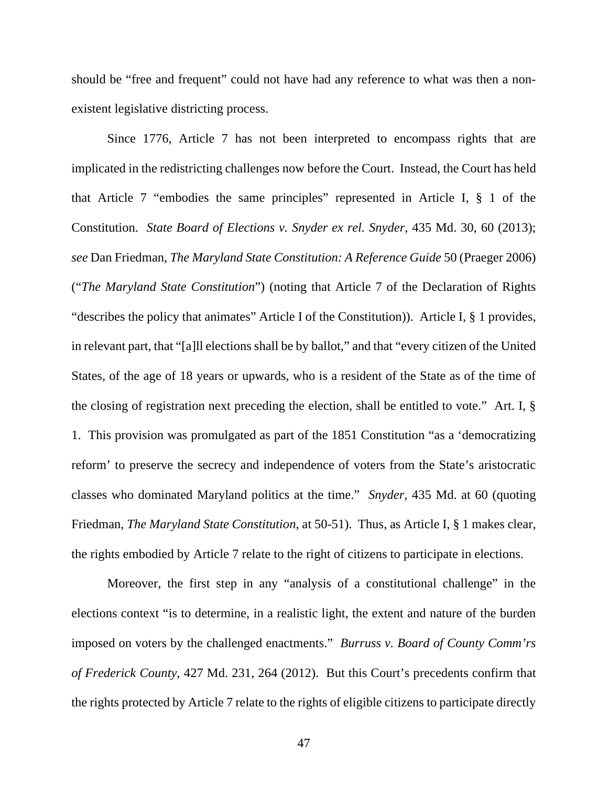should be "free and frequent" could not have had any reference to what was then a nonexistent legislative districting process.

Since 1776, Article 7 has not been interpreted to encompass rights that are implicated in the redistricting challenges now before the Court. Instead, the Court has held that Article 7 "embodies the same principles" represented in Article I, § 1 of the Constitution. *State Board of Elections v. Snyder ex rel. Snyder*, 435 Md. 30, 60 (2013); *see* Dan Friedman, *The Maryland State Constitution: A Reference Guide* 50 (Praeger 2006) ("*The Maryland State Constitution*") (noting that Article 7 of the Declaration of Rights "describes the policy that animates" Article I of the Constitution)). Article I, § 1 provides, in relevant part, that "[a]ll elections shall be by ballot," and that "every citizen of the United States, of the age of 18 years or upwards, who is a resident of the State as of the time of the closing of registration next preceding the election, shall be entitled to vote." Art. I, § 1. This provision was promulgated as part of the 1851 Constitution "as a 'democratizing reform' to preserve the secrecy and independence of voters from the State's aristocratic classes who dominated Maryland politics at the time." *Snyder*, 435 Md. at 60 (quoting Friedman, *The Maryland State Constitution*, at 50-51). Thus, as Article I, § 1 makes clear, the rights embodied by Article 7 relate to the right of citizens to participate in elections.

Moreover, the first step in any "analysis of a constitutional challenge" in the elections context "is to determine, in a realistic light, the extent and nature of the burden imposed on voters by the challenged enactments." *Burruss v. Board of County Comm'rs of Frederick County*, 427 Md. 231, 264 (2012). But this Court's precedents confirm that the rights protected by Article 7 relate to the rights of eligible citizens to participate directly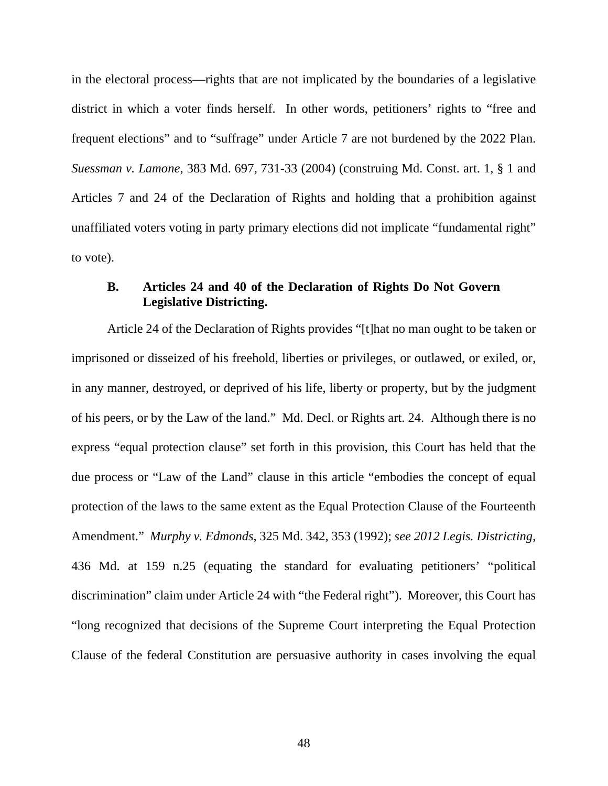in the electoral process—rights that are not implicated by the boundaries of a legislative district in which a voter finds herself. In other words, petitioners' rights to "free and frequent elections" and to "suffrage" under Article 7 are not burdened by the 2022 Plan. *Suessman v. Lamone*, 383 Md. 697, 731-33 (2004) (construing Md. Const. art. 1, § 1 and Articles 7 and 24 of the Declaration of Rights and holding that a prohibition against unaffiliated voters voting in party primary elections did not implicate "fundamental right" to vote).

### <span id="page-47-0"></span>**B. Articles 24 and 40 of the Declaration of Rights Do Not Govern Legislative Districting.**

Article 24 of the Declaration of Rights provides "[t]hat no man ought to be taken or imprisoned or disseized of his freehold, liberties or privileges, or outlawed, or exiled, or, in any manner, destroyed, or deprived of his life, liberty or property, but by the judgment of his peers, or by the Law of the land." Md. Decl. or Rights art. 24. Although there is no express "equal protection clause" set forth in this provision, this Court has held that the due process or "Law of the Land" clause in this article "embodies the concept of equal protection of the laws to the same extent as the Equal Protection Clause of the Fourteenth Amendment." *Murphy v. Edmonds*, 325 Md. 342, 353 (1992); *see 2012 Legis. Districting*, 436 Md. at 159 n.25 (equating the standard for evaluating petitioners' "political discrimination" claim under Article 24 with "the Federal right"). Moreover, this Court has "long recognized that decisions of the Supreme Court interpreting the Equal Protection Clause of the federal Constitution are persuasive authority in cases involving the equal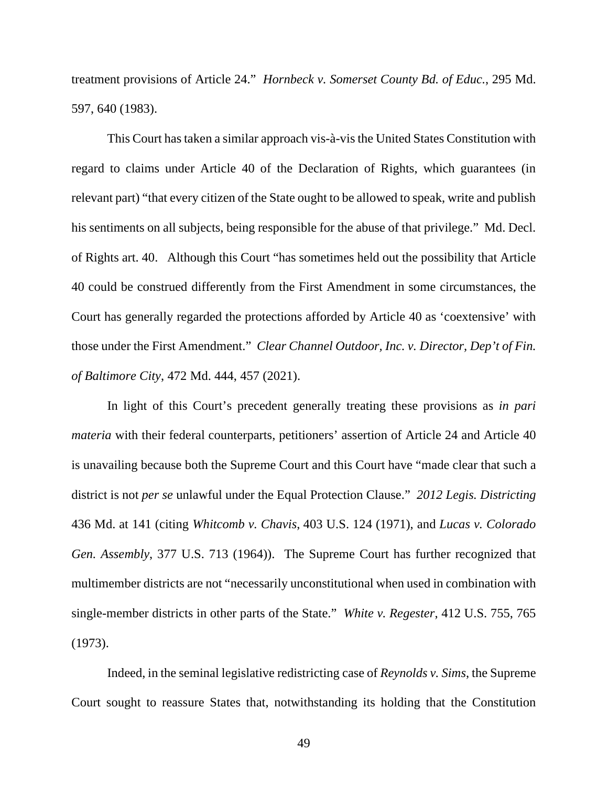treatment provisions of Article 24." *Hornbeck v. Somerset County Bd. of Educ.*, 295 Md. 597, 640 (1983).

This Court has taken a similar approach vis-à-vis the United States Constitution with regard to claims under Article 40 of the Declaration of Rights, which guarantees (in relevant part) "that every citizen of the State ought to be allowed to speak, write and publish his sentiments on all subjects, being responsible for the abuse of that privilege." Md. Decl. of Rights art. 40. Although this Court "has sometimes held out the possibility that Article 40 could be construed differently from the First Amendment in some circumstances, the Court has generally regarded the protections afforded by Article 40 as 'coextensive' with those under the First Amendment." *Clear Channel Outdoor, Inc. v. Director, Dep't of Fin. of Baltimore City*, 472 Md. 444, 457 (2021).

In light of this Court's precedent generally treating these provisions as *in pari materia* with their federal counterparts, petitioners' assertion of Article 24 and Article 40 is unavailing because both the Supreme Court and this Court have "made clear that such a district is not *per se* unlawful under the Equal Protection Clause." *2012 Legis. Districting* 436 Md. at 141 (citing *Whitcomb v. Chavis*, 403 U.S. 124 (1971), and *Lucas v. Colorado Gen. Assembly*, 377 U.S. 713 (1964)). The Supreme Court has further recognized that multimember districts are not "necessarily unconstitutional when used in combination with single-member districts in other parts of the State." *White v. Regester*, 412 U.S. 755, 765 (1973).

Indeed, in the seminal legislative redistricting case of *Reynolds v. Sims*, the Supreme Court sought to reassure States that, notwithstanding its holding that the Constitution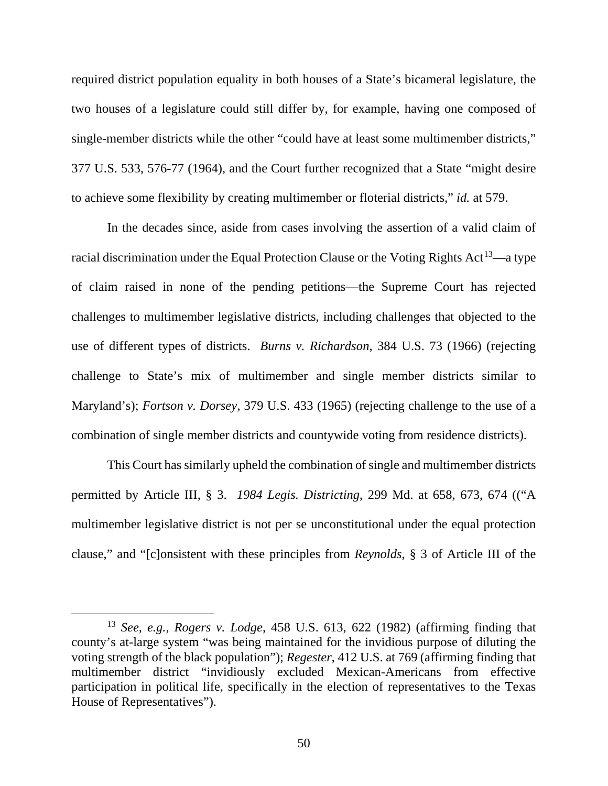required district population equality in both houses of a State's bicameral legislature, the two houses of a legislature could still differ by, for example, having one composed of single-member districts while the other "could have at least some multimember districts," 377 U.S. 533, 576-77 (1964), and the Court further recognized that a State "might desire to achieve some flexibility by creating multimember or floterial districts," *id.* at 579.

In the decades since, aside from cases involving the assertion of a valid claim of racial discrimination under the Equal Protection Clause or the Voting Rights Act<sup>[13](#page-49-0)</sup>—a type of claim raised in none of the pending petitions—the Supreme Court has rejected challenges to multimember legislative districts, including challenges that objected to the use of different types of districts. *Burns v. Richardson*, 384 U.S. 73 (1966) (rejecting challenge to State's mix of multimember and single member districts similar to Maryland's); *Fortson v. Dorsey*, 379 U.S. 433 (1965) (rejecting challenge to the use of a combination of single member districts and countywide voting from residence districts).

This Court has similarly upheld the combination of single and multimember districts permitted by Article III, § 3. *1984 Legis. Districting*, 299 Md. at 658, 673, 674 (("A multimember legislative district is not per se unconstitutional under the equal protection clause," and "[c]onsistent with these principles from *Reynolds*, § 3 of Article III of the

<span id="page-49-0"></span><sup>13</sup> *See, e.g.*, *Rogers v. Lodge*, 458 U.S. 613, 622 (1982) (affirming finding that county's at-large system "was being maintained for the invidious purpose of diluting the voting strength of the black population"); *Regester*, 412 U.S. at 769 (affirming finding that multimember district "invidiously excluded Mexican-Americans from effective participation in political life, specifically in the election of representatives to the Texas House of Representatives").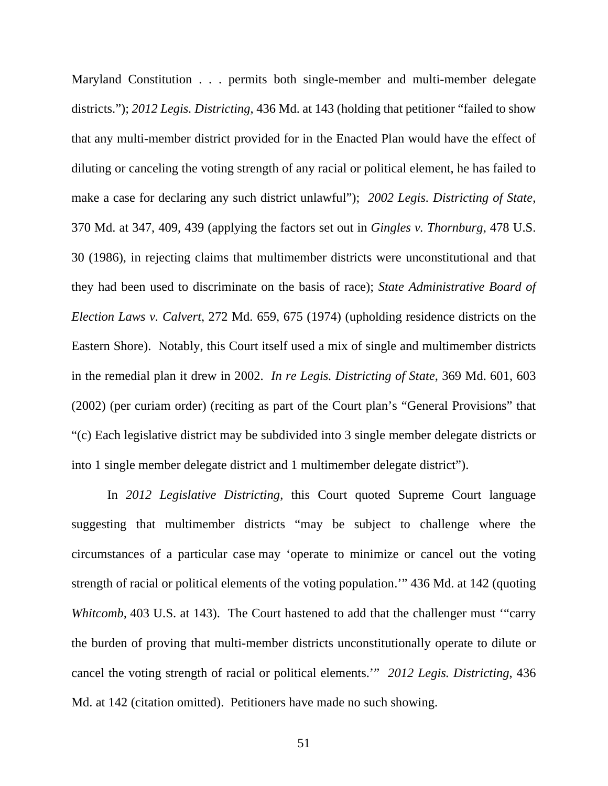Maryland Constitution . . . permits both single-member and multi-member delegate districts."); *2012 Legis. Districting*, 436 Md. at 143 (holding that petitioner "failed to show that any multi-member district provided for in the Enacted Plan would have the effect of diluting or canceling the voting strength of any racial or political element, he has failed to make a case for declaring any such district unlawful"); *2002 Legis. Districting of State*, 370 Md. at 347, 409, 439 (applying the factors set out in *Gingles v. Thornburg*, 478 U.S. 30 (1986), in rejecting claims that multimember districts were unconstitutional and that they had been used to discriminate on the basis of race); *State Administrative Board of Election Laws v. Calvert*, 272 Md. 659, 675 (1974) (upholding residence districts on the Eastern Shore). Notably, this Court itself used a mix of single and multimember districts in the remedial plan it drew in 2002. *In re Legis. Districting of State*, 369 Md. 601, 603 (2002) (per curiam order) (reciting as part of the Court plan's "General Provisions" that "(c) Each legislative district may be subdivided into 3 single member delegate districts or into 1 single member delegate district and 1 multimember delegate district").

In *2012 Legislative Districting*, this Court quoted Supreme Court language suggesting that multimember districts "may be subject to challenge where the circumstances of a particular case may 'operate to minimize or cancel out the voting strength of racial or political elements of the voting population.'" 436 Md. at 142 (quoting *Whitcomb*, 403 U.S. at 143). The Court hastened to add that the challenger must "carry the burden of proving that multi-member districts unconstitutionally operate to dilute or cancel the voting strength of racial or political elements.'" *2012 Legis. Districting*, 436 Md. at 142 (citation omitted). Petitioners have made no such showing.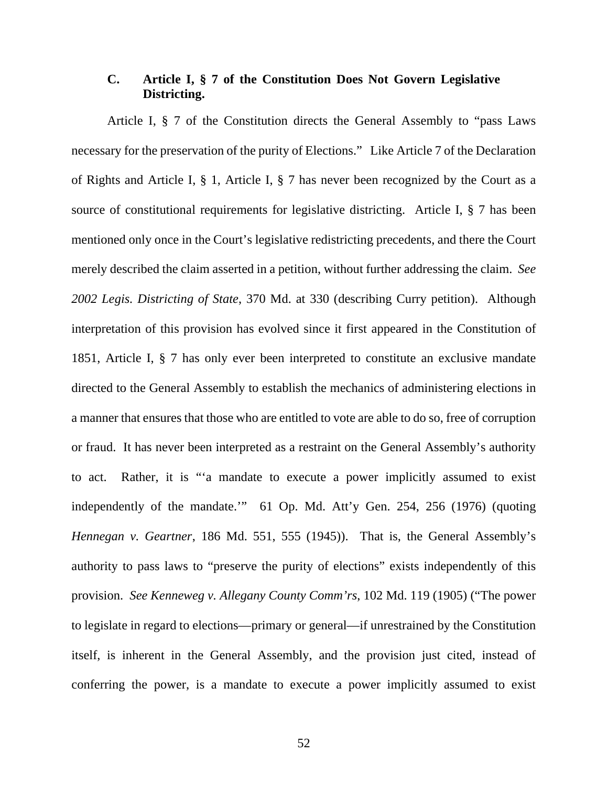# <span id="page-51-0"></span>**C. Article I, § 7 of the Constitution Does Not Govern Legislative Districting.**

Article I, § 7 of the Constitution directs the General Assembly to "pass Laws necessary for the preservation of the purity of Elections." Like Article 7 of the Declaration of Rights and Article I, § 1, Article I, § 7 has never been recognized by the Court as a source of constitutional requirements for legislative districting. Article I, § 7 has been mentioned only once in the Court's legislative redistricting precedents, and there the Court merely described the claim asserted in a petition, without further addressing the claim. *See 2002 Legis. Districting of State*, 370 Md. at 330 (describing Curry petition). Although interpretation of this provision has evolved since it first appeared in the Constitution of 1851, Article I, § 7 has only ever been interpreted to constitute an exclusive mandate directed to the General Assembly to establish the mechanics of administering elections in a manner that ensures that those who are entitled to vote are able to do so, free of corruption or fraud. It has never been interpreted as a restraint on the General Assembly's authority to act. Rather, it is "'a mandate to execute a power implicitly assumed to exist independently of the mandate.'" 61 Op. Md. Att'y Gen. 254, 256 (1976) (quoting *Hennegan v. Geartner*, 186 Md. 551, 555 (1945)). That is, the General Assembly's authority to pass laws to "preserve the purity of elections" exists independently of this provision. *See Kenneweg v. Allegany County Comm'rs*, 102 Md. 119 (1905) ("The power to legislate in regard to elections—primary or general—if unrestrained by the Constitution itself, is inherent in the General Assembly, and the provision just cited, instead of conferring the power, is a mandate to execute a power implicitly assumed to exist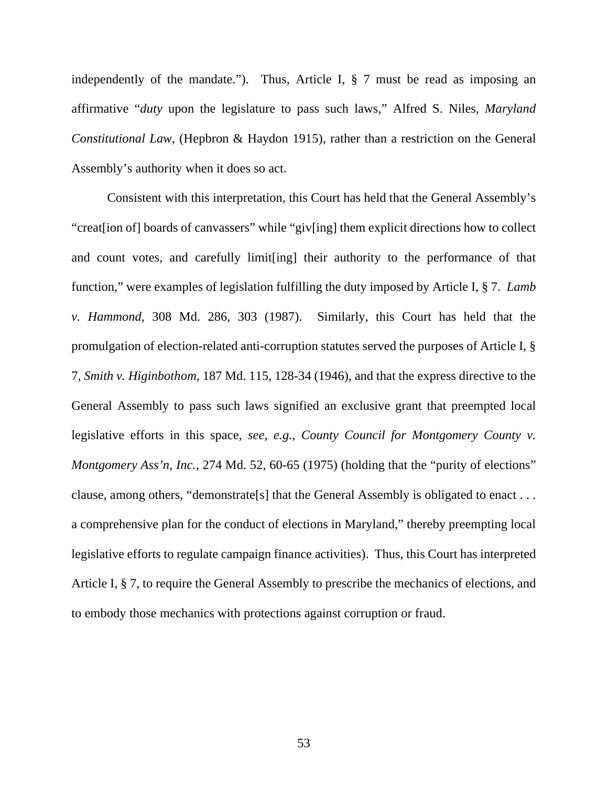independently of the mandate."). Thus, Article I, § 7 must be read as imposing an affirmative "*duty* upon the legislature to pass such laws," Alfred S. Niles, *Maryland Constitutional Law*, (Hepbron & Haydon 1915), rather than a restriction on the General Assembly's authority when it does so act.

Consistent with this interpretation, this Court has held that the General Assembly's "creat[ion of] boards of canvassers" while "giv[ing] them explicit directions how to collect and count votes, and carefully limit[ing] their authority to the performance of that function," were examples of legislation fulfilling the duty imposed by Article I, § 7. *Lamb v. Hammond*, 308 Md. 286, 303 (1987). Similarly, this Court has held that the promulgation of election-related anti-corruption statutes served the purposes of Article I, § 7, *Smith v. Higinbothom*, 187 Md. 115, 128-34 (1946), and that the express directive to the General Assembly to pass such laws signified an exclusive grant that preempted local legislative efforts in this space, *see, e.g.*, *County Council for Montgomery County v. Montgomery Ass'n, Inc., 274 Md. 52, 60-65 (1975) (holding that the "purity of elections"* clause, among others, "demonstrate[s] that the General Assembly is obligated to enact . . . a comprehensive plan for the conduct of elections in Maryland," thereby preempting local legislative efforts to regulate campaign finance activities). Thus, this Court has interpreted Article I, § 7, to require the General Assembly to prescribe the mechanics of elections, and to embody those mechanics with protections against corruption or fraud.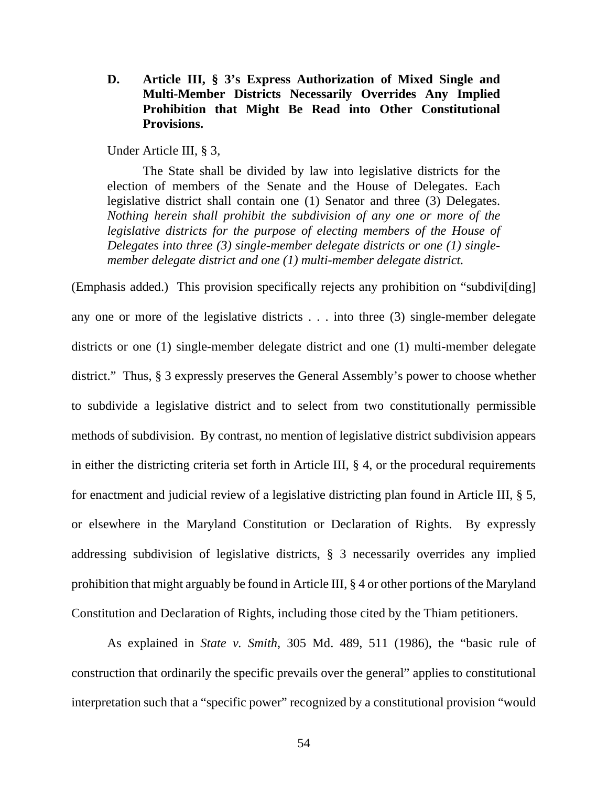<span id="page-53-0"></span>**D. Article III, § 3's Express Authorization of Mixed Single and Multi-Member Districts Necessarily Overrides Any Implied Prohibition that Might Be Read into Other Constitutional Provisions.**

Under Article III, § 3,

The State shall be divided by law into legislative districts for the election of members of the Senate and the House of Delegates. Each legislative district shall contain one (1) Senator and three (3) Delegates. *Nothing herein shall prohibit the subdivision of any one or more of the legislative districts for the purpose of electing members of the House of Delegates into three (3) single-member delegate districts or one (1) singlemember delegate district and one (1) multi-member delegate district.*

(Emphasis added.) This provision specifically rejects any prohibition on "subdivi[ding] any one or more of the legislative districts . . . into three (3) single-member delegate districts or one (1) single-member delegate district and one (1) multi-member delegate district." Thus, § 3 expressly preserves the General Assembly's power to choose whether to subdivide a legislative district and to select from two constitutionally permissible methods of subdivision. By contrast, no mention of legislative district subdivision appears in either the districting criteria set forth in Article III, § 4, or the procedural requirements for enactment and judicial review of a legislative districting plan found in Article III, § 5, or elsewhere in the Maryland Constitution or Declaration of Rights. By expressly addressing subdivision of legislative districts, § 3 necessarily overrides any implied prohibition that might arguably be found in Article III, § 4 or other portions of the Maryland Constitution and Declaration of Rights, including those cited by the Thiam petitioners.

As explained in *State v. Smith*, 305 Md. 489, 511 (1986), the "basic rule of construction that ordinarily the specific prevails over the general" applies to constitutional interpretation such that a "specific power" recognized by a constitutional provision "would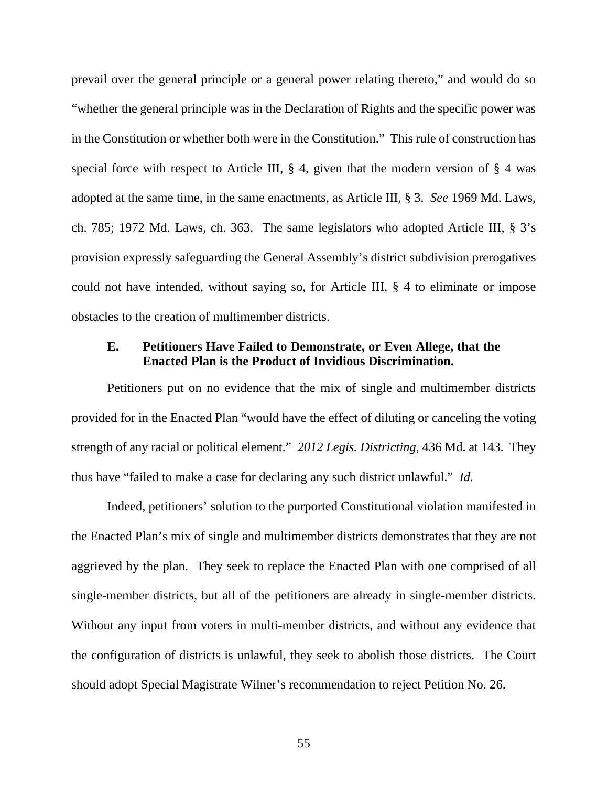prevail over the general principle or a general power relating thereto," and would do so "whether the general principle was in the Declaration of Rights and the specific power was in the Constitution or whether both were in the Constitution." This rule of construction has special force with respect to Article III,  $\S$  4, given that the modern version of  $\S$  4 was adopted at the same time, in the same enactments, as Article III, § 3. *See* 1969 Md. Laws, ch. 785; 1972 Md. Laws, ch. 363. The same legislators who adopted Article III, § 3's provision expressly safeguarding the General Assembly's district subdivision prerogatives could not have intended, without saying so, for Article III, § 4 to eliminate or impose obstacles to the creation of multimember districts.

### <span id="page-54-0"></span>**E. Petitioners Have Failed to Demonstrate, or Even Allege, that the Enacted Plan is the Product of Invidious Discrimination.**

Petitioners put on no evidence that the mix of single and multimember districts provided for in the Enacted Plan "would have the effect of diluting or canceling the voting strength of any racial or political element." *2012 Legis. Districting*, 436 Md. at 143. They thus have "failed to make a case for declaring any such district unlawful." *Id.*

Indeed, petitioners' solution to the purported Constitutional violation manifested in the Enacted Plan's mix of single and multimember districts demonstrates that they are not aggrieved by the plan. They seek to replace the Enacted Plan with one comprised of all single-member districts, but all of the petitioners are already in single-member districts. Without any input from voters in multi-member districts, and without any evidence that the configuration of districts is unlawful, they seek to abolish those districts. The Court should adopt Special Magistrate Wilner's recommendation to reject Petition No. 26.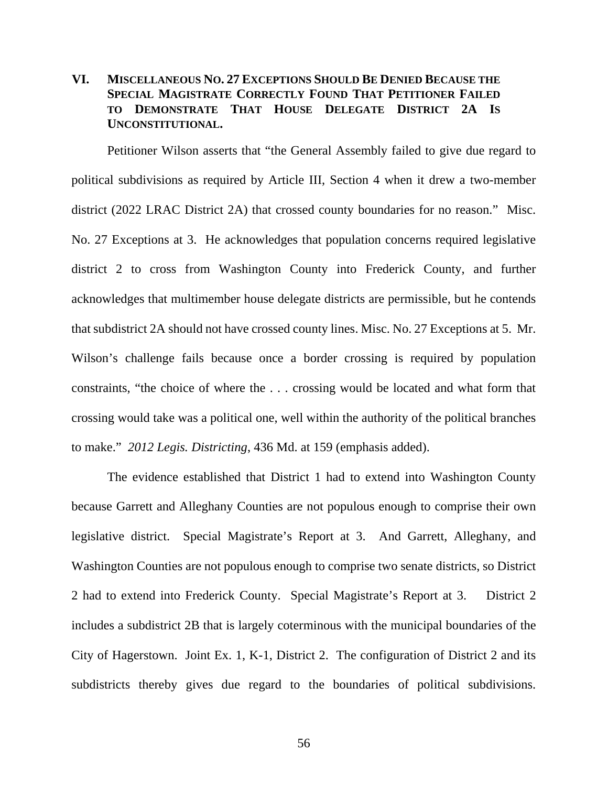# <span id="page-55-0"></span>**VI. MISCELLANEOUS NO. 27 EXCEPTIONS SHOULD BE DENIED BECAUSE THE SPECIAL MAGISTRATE CORRECTLY FOUND THAT PETITIONER FAILED TO DEMONSTRATE THAT HOUSE DELEGATE DISTRICT 2A IS UNCONSTITUTIONAL.**

Petitioner Wilson asserts that "the General Assembly failed to give due regard to political subdivisions as required by Article III, Section 4 when it drew a two-member district (2022 LRAC District 2A) that crossed county boundaries for no reason." Misc. No. 27 Exceptions at 3. He acknowledges that population concerns required legislative district 2 to cross from Washington County into Frederick County, and further acknowledges that multimember house delegate districts are permissible, but he contends that subdistrict 2A should not have crossed county lines. Misc. No. 27 Exceptions at 5. Mr. Wilson's challenge fails because once a border crossing is required by population constraints, "the choice of where the . . . crossing would be located and what form that crossing would take was a political one, well within the authority of the political branches to make." *2012 Legis. Districting*, 436 Md. at 159 (emphasis added).

The evidence established that District 1 had to extend into Washington County because Garrett and Alleghany Counties are not populous enough to comprise their own legislative district. Special Magistrate's Report at 3. And Garrett, Alleghany, and Washington Counties are not populous enough to comprise two senate districts, so District 2 had to extend into Frederick County. Special Magistrate's Report at 3. District 2 includes a subdistrict 2B that is largely coterminous with the municipal boundaries of the City of Hagerstown. Joint Ex. 1, K-1, District 2. The configuration of District 2 and its subdistricts thereby gives due regard to the boundaries of political subdivisions.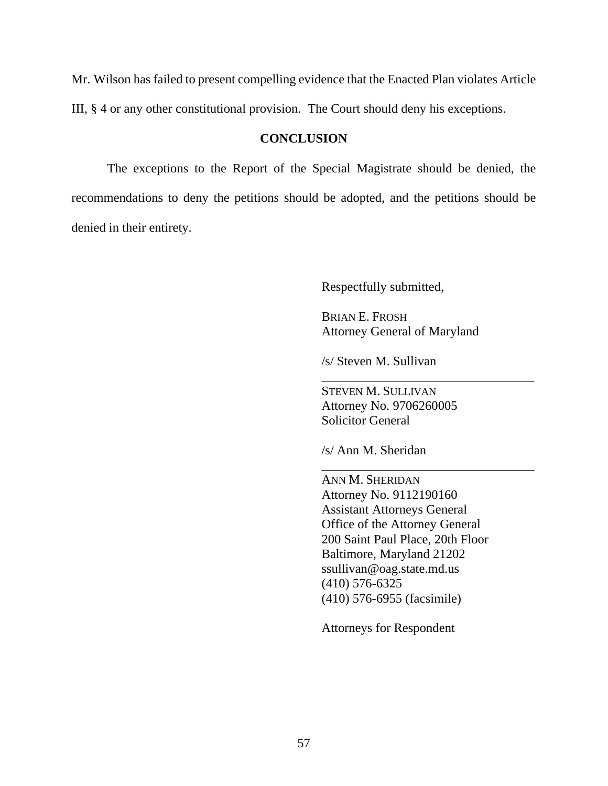Mr. Wilson has failed to present compelling evidence that the Enacted Plan violates Article III, § 4 or any other constitutional provision. The Court should deny his exceptions.

### **CONCLUSION**

<span id="page-56-0"></span>The exceptions to the Report of the Special Magistrate should be denied, the recommendations to deny the petitions should be adopted, and the petitions should be denied in their entirety.

Respectfully submitted,

BRIAN E. FROSH Attorney General of Maryland

\_\_\_\_\_\_\_\_\_\_\_\_\_\_\_\_\_\_\_\_\_\_\_\_\_\_\_\_\_\_\_\_\_

\_\_\_\_\_\_\_\_\_\_\_\_\_\_\_\_\_\_\_\_\_\_\_\_\_\_\_\_\_\_\_\_\_

/s/ Steven M. Sullivan

STEVEN M. SULLIVAN Attorney No. 9706260005 Solicitor General

/s/ Ann M. Sheridan

ANN M. SHERIDAN Attorney No. 9112190160 Assistant Attorneys General Office of the Attorney General 200 Saint Paul Place, 20th Floor Baltimore, Maryland 21202 ssullivan@oag.state.md.us (410) 576-6325 (410) 576-6955 (facsimile)

Attorneys for Respondent